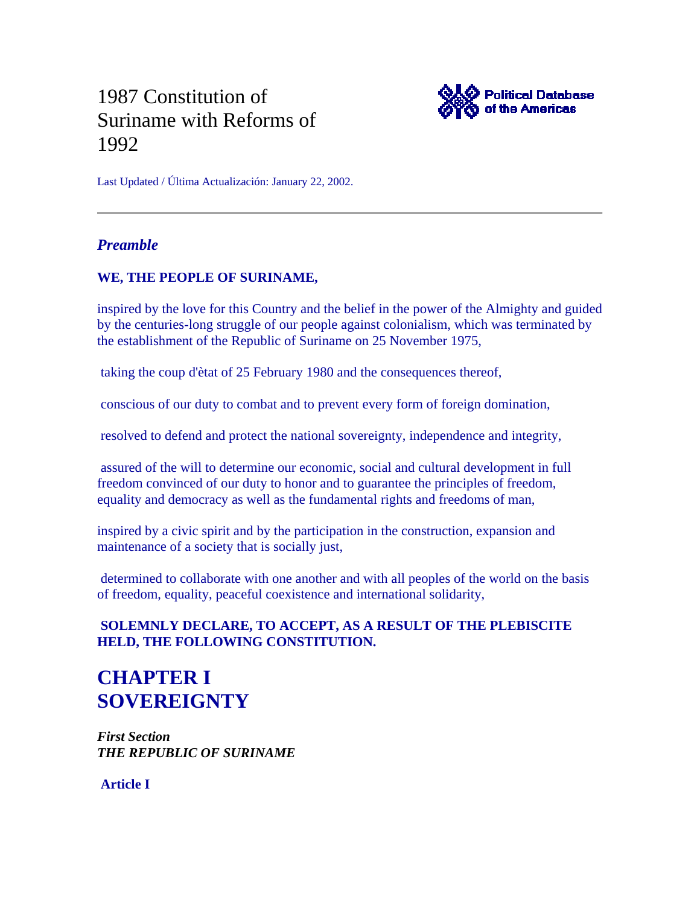# 1987 Constitution of Suriname with Reforms of 1992



Last Updated / Última Actualización: January 22, 2002.

### *Preamble*

#### **WE, THE PEOPLE OF SURINAME,**

inspired by the love for this Country and the belief in the power of the Almighty and guided by the centuries-long struggle of our people against colonialism, which was terminated by the establishment of the Republic of Suriname on 25 November 1975,

taking the coup d'ètat of 25 February 1980 and the consequences thereof,

conscious of our duty to combat and to prevent every form of foreign domination,

resolved to defend and protect the national sovereignty, independence and integrity,

 assured of the will to determine our economic, social and cultural development in full freedom convinced of our duty to honor and to guarantee the principles of freedom, equality and democracy as well as the fundamental rights and freedoms of man,

inspired by a civic spirit and by the participation in the construction, expansion and maintenance of a society that is socially just,

 determined to collaborate with one another and with all peoples of the world on the basis of freedom, equality, peaceful coexistence and international solidarity,

#### **SOLEMNLY DECLARE, TO ACCEPT, AS A RESULT OF THE PLEBISCITE HELD, THE FOLLOWING CONSTITUTION.**

# **CHAPTER I SOVEREIGNTY**

*First Section THE REPUBLIC OF SURINAME*

**Article I**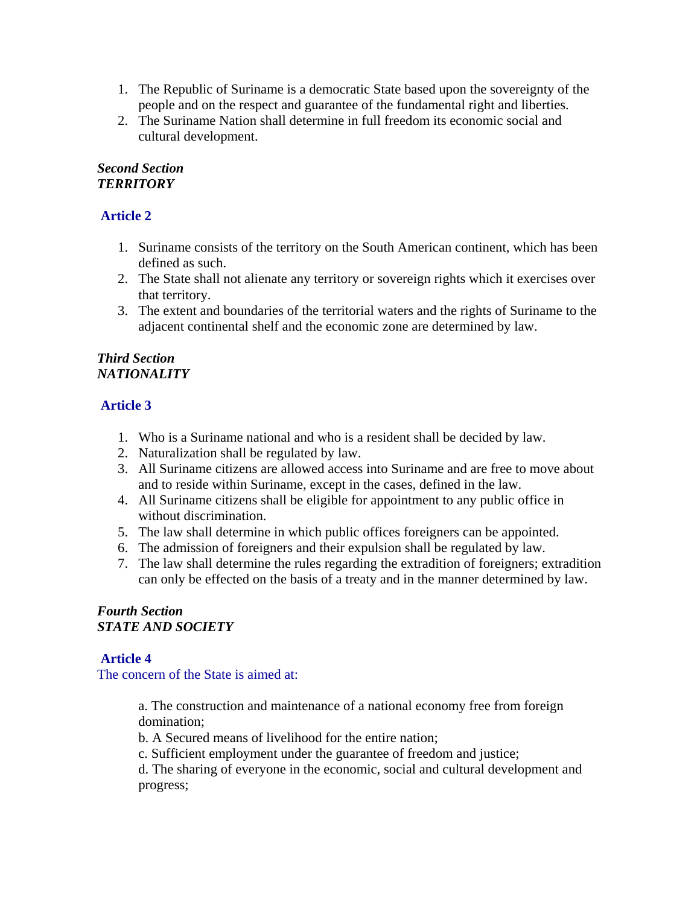- 1. The Republic of Suriname is a democratic State based upon the sovereignty of the people and on the respect and guarantee of the fundamental right and liberties.
- 2. The Suriname Nation shall determine in full freedom its economic social and cultural development.

#### *Second Section TERRITORY*

## **Article 2**

- 1. Suriname consists of the territory on the South American continent, which has been defined as such.
- 2. The State shall not alienate any territory or sovereign rights which it exercises over that territory.
- 3. The extent and boundaries of the territorial waters and the rights of Suriname to the adjacent continental shelf and the economic zone are determined by law.

#### *Third Section NATIONALITY*

## **Article 3**

- 1. Who is a Suriname national and who is a resident shall be decided by law.
- 2. Naturalization shall be regulated by law.
- 3. All Suriname citizens are allowed access into Suriname and are free to move about and to reside within Suriname, except in the cases, defined in the law.
- 4. All Suriname citizens shall be eligible for appointment to any public office in without discrimination.
- 5. The law shall determine in which public offices foreigners can be appointed.
- 6. The admission of foreigners and their expulsion shall be regulated by law.
- 7. The law shall determine the rules regarding the extradition of foreigners; extradition can only be effected on the basis of a treaty and in the manner determined by law.

#### *Fourth Section STATE AND SOCIETY*

## **Article 4**

The concern of the State is aimed at:

a. The construction and maintenance of a national economy free from foreign domination;

b. A Secured means of livelihood for the entire nation;

c. Sufficient employment under the guarantee of freedom and justice;

d. The sharing of everyone in the economic, social and cultural development and progress;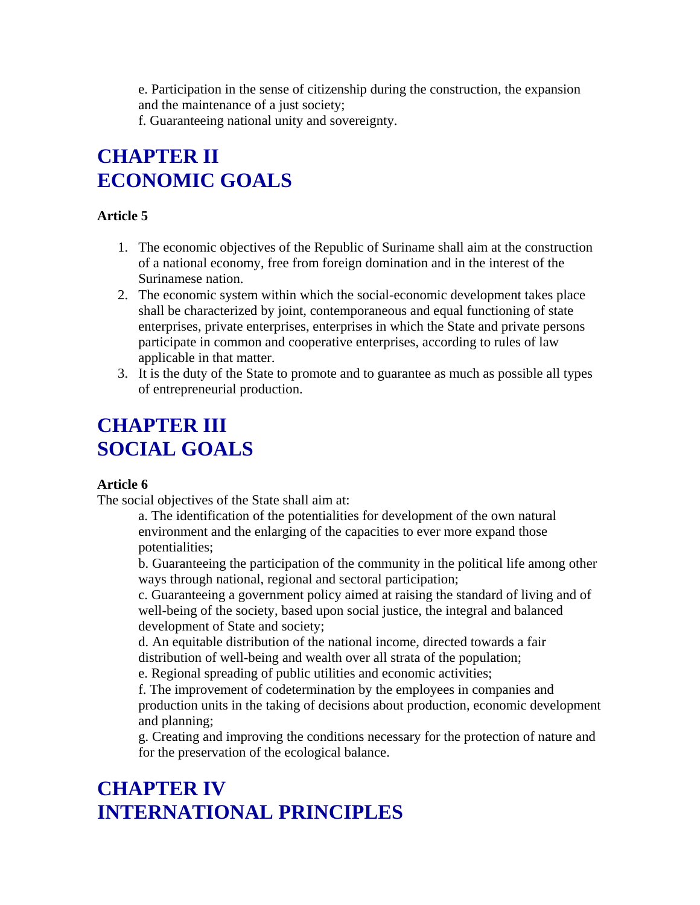e. Participation in the sense of citizenship during the construction, the expansion and the maintenance of a just society;

f. Guaranteeing national unity and sovereignty.

# **CHAPTER II ECONOMIC GOALS**

### **Article 5**

- 1. The economic objectives of the Republic of Suriname shall aim at the construction of a national economy, free from foreign domination and in the interest of the Surinamese nation.
- 2. The economic system within which the social-economic development takes place shall be characterized by joint, contemporaneous and equal functioning of state enterprises, private enterprises, enterprises in which the State and private persons participate in common and cooperative enterprises, according to rules of law applicable in that matter.
- 3. It is the duty of the State to promote and to guarantee as much as possible all types of entrepreneurial production.

# **CHAPTER III SOCIAL GOALS**

#### **Article 6**

The social objectives of the State shall aim at:

a. The identification of the potentialities for development of the own natural environment and the enlarging of the capacities to ever more expand those potentialities;

b. Guaranteeing the participation of the community in the political life among other ways through national, regional and sectoral participation;

c. Guaranteeing a government policy aimed at raising the standard of living and of well-being of the society, based upon social justice, the integral and balanced development of State and society;

d. An equitable distribution of the national income, directed towards a fair distribution of well-being and wealth over all strata of the population;

e. Regional spreading of public utilities and economic activities;

f. The improvement of codetermination by the employees in companies and production units in the taking of decisions about production, economic development and planning;

g. Creating and improving the conditions necessary for the protection of nature and for the preservation of the ecological balance.

# **CHAPTER IV INTERNATIONAL PRINCIPLES**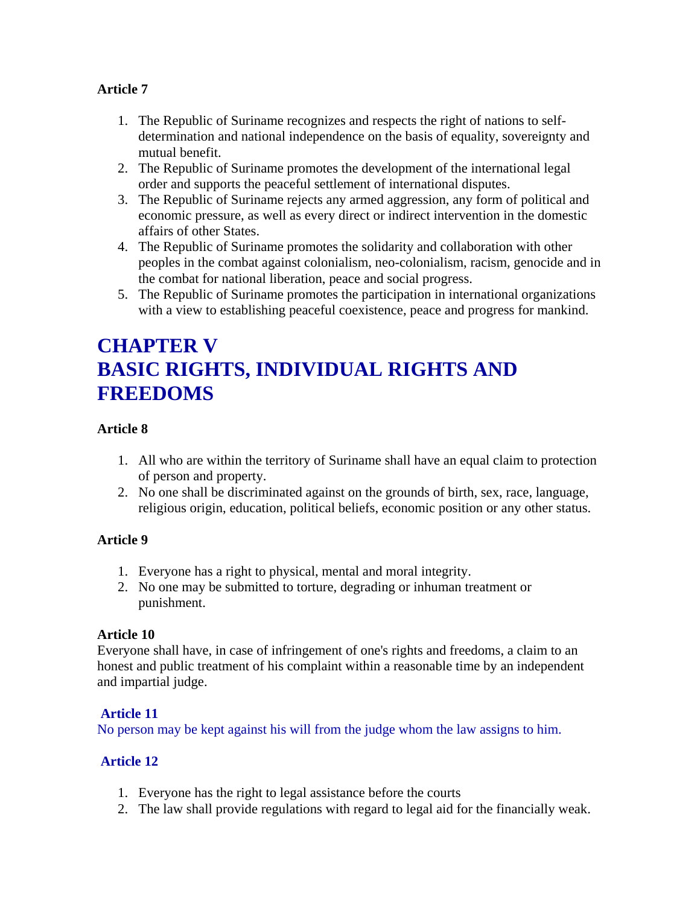- 1. The Republic of Suriname recognizes and respects the right of nations to selfdetermination and national independence on the basis of equality, sovereignty and mutual benefit.
- 2. The Republic of Suriname promotes the development of the international legal order and supports the peaceful settlement of international disputes.
- 3. The Republic of Suriname rejects any armed aggression, any form of political and economic pressure, as well as every direct or indirect intervention in the domestic affairs of other States.
- 4. The Republic of Suriname promotes the solidarity and collaboration with other peoples in the combat against colonialism, neo-colonialism, racism, genocide and in the combat for national liberation, peace and social progress.
- 5. The Republic of Suriname promotes the participation in international organizations with a view to establishing peaceful coexistence, peace and progress for mankind.

# **CHAPTER V BASIC RIGHTS, INDIVIDUAL RIGHTS AND FREEDOMS**

#### **Article 8**

- 1. All who are within the territory of Suriname shall have an equal claim to protection of person and property.
- 2. No one shall be discriminated against on the grounds of birth, sex, race, language, religious origin, education, political beliefs, economic position or any other status.

#### **Article 9**

- 1. Everyone has a right to physical, mental and moral integrity.
- 2. No one may be submitted to torture, degrading or inhuman treatment or punishment.

#### **Article 10**

Everyone shall have, in case of infringement of one's rights and freedoms, a claim to an honest and public treatment of his complaint within a reasonable time by an independent and impartial judge.

#### **Article 11**

No person may be kept against his will from the judge whom the law assigns to him.

- 1. Everyone has the right to legal assistance before the courts
- 2. The law shall provide regulations with regard to legal aid for the financially weak.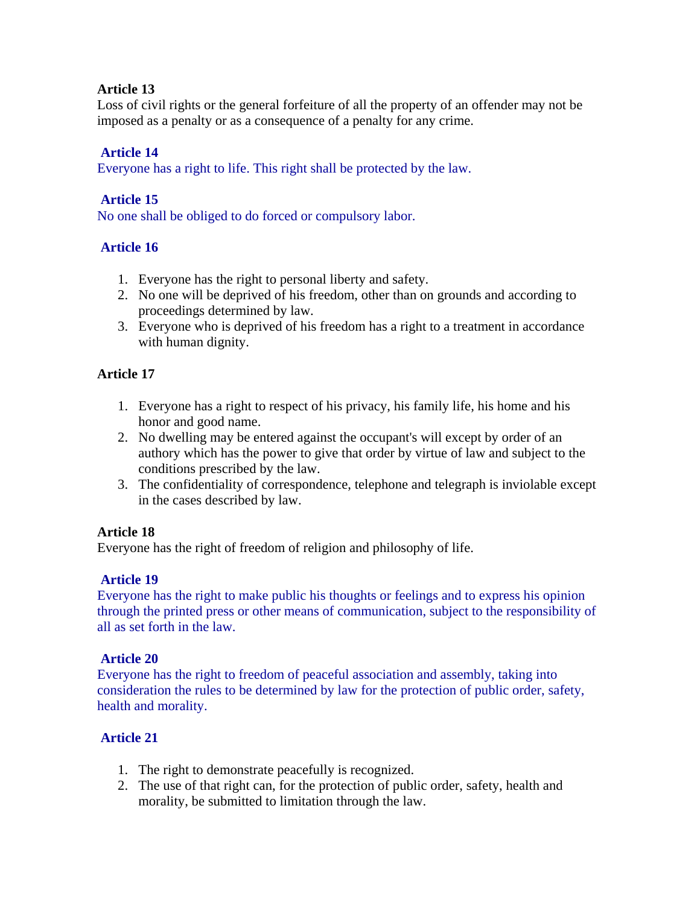Loss of civil rights or the general forfeiture of all the property of an offender may not be imposed as a penalty or as a consequence of a penalty for any crime.

### **Article 14**

Everyone has a right to life. This right shall be protected by the law.

### **Article 15**

No one shall be obliged to do forced or compulsory labor.

#### **Article 16**

- 1. Everyone has the right to personal liberty and safety.
- 2. No one will be deprived of his freedom, other than on grounds and according to proceedings determined by law.
- 3. Everyone who is deprived of his freedom has a right to a treatment in accordance with human dignity.

#### **Article 17**

- 1. Everyone has a right to respect of his privacy, his family life, his home and his honor and good name.
- 2. No dwelling may be entered against the occupant's will except by order of an authory which has the power to give that order by virtue of law and subject to the conditions prescribed by the law.
- 3. The confidentiality of correspondence, telephone and telegraph is inviolable except in the cases described by law.

#### **Article 18**

Everyone has the right of freedom of religion and philosophy of life.

#### **Article 19**

Everyone has the right to make public his thoughts or feelings and to express his opinion through the printed press or other means of communication, subject to the responsibility of all as set forth in the law.

#### **Article 20**

Everyone has the right to freedom of peaceful association and assembly, taking into consideration the rules to be determined by law for the protection of public order, safety, health and morality.

- 1. The right to demonstrate peacefully is recognized.
- 2. The use of that right can, for the protection of public order, safety, health and morality, be submitted to limitation through the law.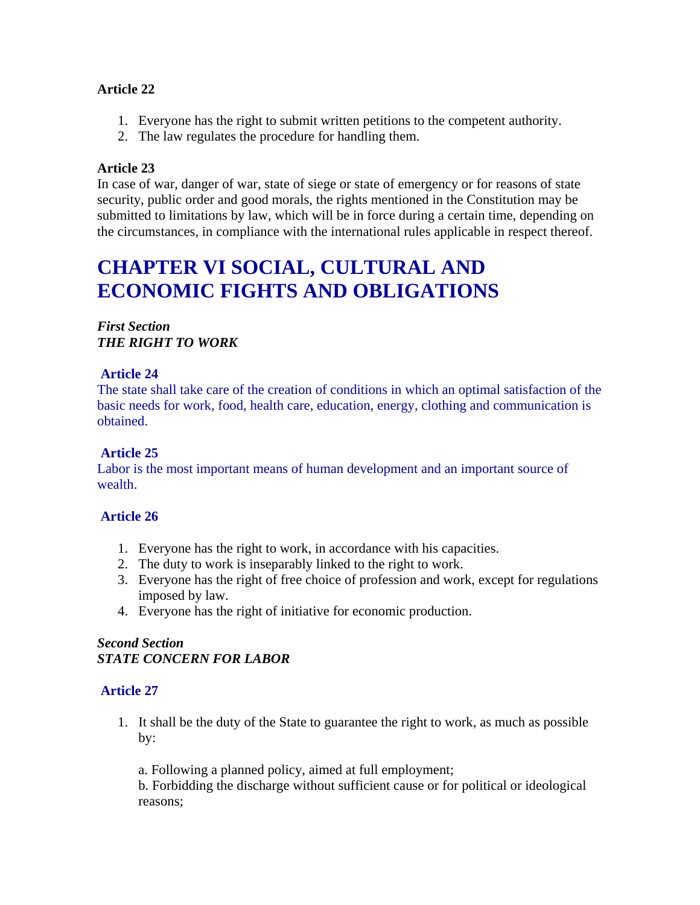- 1. Everyone has the right to submit written petitions to the competent authority.
- 2. The law regulates the procedure for handling them.

#### **Article 23**

In case of war, danger of war, state of siege or state of emergency or for reasons of state security, public order and good morals, the rights mentioned in the Constitution may be submitted to limitations by law, which will be in force during a certain time, depending on the circumstances, in compliance with the international rules applicable in respect thereof.

# **CHAPTER VI SOCIAL, CULTURAL AND ECONOMIC FIGHTS AND OBLIGATIONS**

### *First Section THE RIGHT TO WORK*

#### **Article 24**

The state shall take care of the creation of conditions in which an optimal satisfaction of the basic needs for work, food, health care, education, energy, clothing and communication is obtained.

#### **Article 25**

Labor is the most important means of human development and an important source of wealth.

#### **Article 26**

- 1. Everyone has the right to work, in accordance with his capacities.
- 2. The duty to work is inseparably linked to the right to work.
- 3. Everyone has the right of free choice of profession and work, except for regulations imposed by law.
- 4. Everyone has the right of initiative for economic production.

## *Second Section STATE CONCERN FOR LABOR*

#### **Article 27**

1. It shall be the duty of the State to guarantee the right to work, as much as possible by:

a. Following a planned policy, aimed at full employment; b. Forbidding the discharge without sufficient cause or for political or ideological reasons;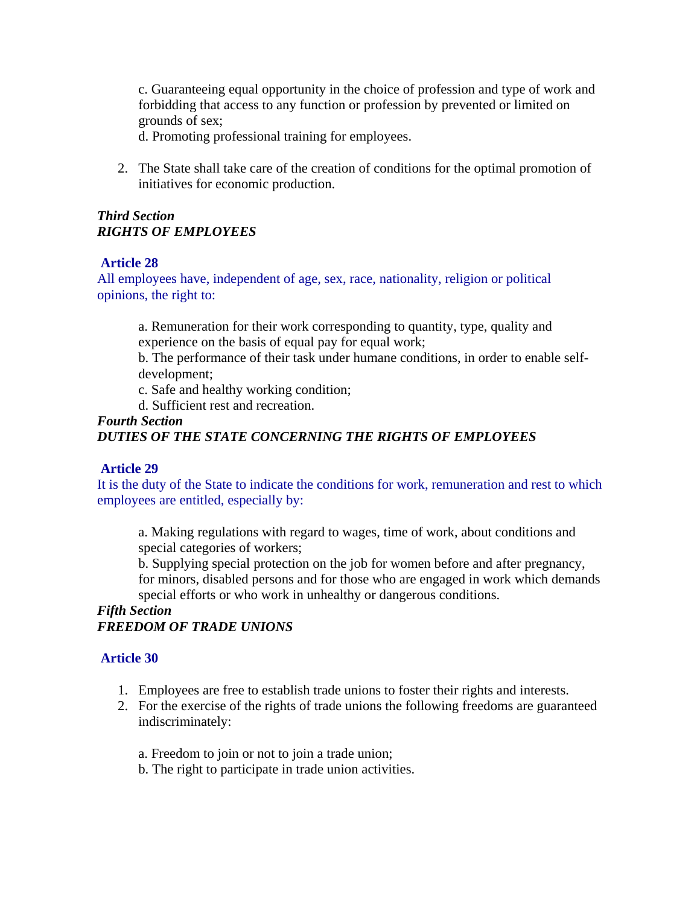c. Guaranteeing equal opportunity in the choice of profession and type of work and forbidding that access to any function or profession by prevented or limited on grounds of sex;

d. Promoting professional training for employees.

2. The State shall take care of the creation of conditions for the optimal promotion of initiatives for economic production.

#### *Third Section RIGHTS OF EMPLOYEES*

#### **Article 28**

All employees have, independent of age, sex, race, nationality, religion or political opinions, the right to:

a. Remuneration for their work corresponding to quantity, type, quality and experience on the basis of equal pay for equal work;

b. The performance of their task under humane conditions, in order to enable selfdevelopment;

c. Safe and healthy working condition;

d. Sufficient rest and recreation.

## *Fourth Section DUTIES OF THE STATE CONCERNING THE RIGHTS OF EMPLOYEES*

#### **Article 29**

It is the duty of the State to indicate the conditions for work, remuneration and rest to which employees are entitled, especially by:

a. Making regulations with regard to wages, time of work, about conditions and special categories of workers;

b. Supplying special protection on the job for women before and after pregnancy, for minors, disabled persons and for those who are engaged in work which demands special efforts or who work in unhealthy or dangerous conditions.

#### *Fifth Section FREEDOM OF TRADE UNIONS*

- 1. Employees are free to establish trade unions to foster their rights and interests.
- 2. For the exercise of the rights of trade unions the following freedoms are guaranteed indiscriminately:
	- a. Freedom to join or not to join a trade union;
	- b. The right to participate in trade union activities.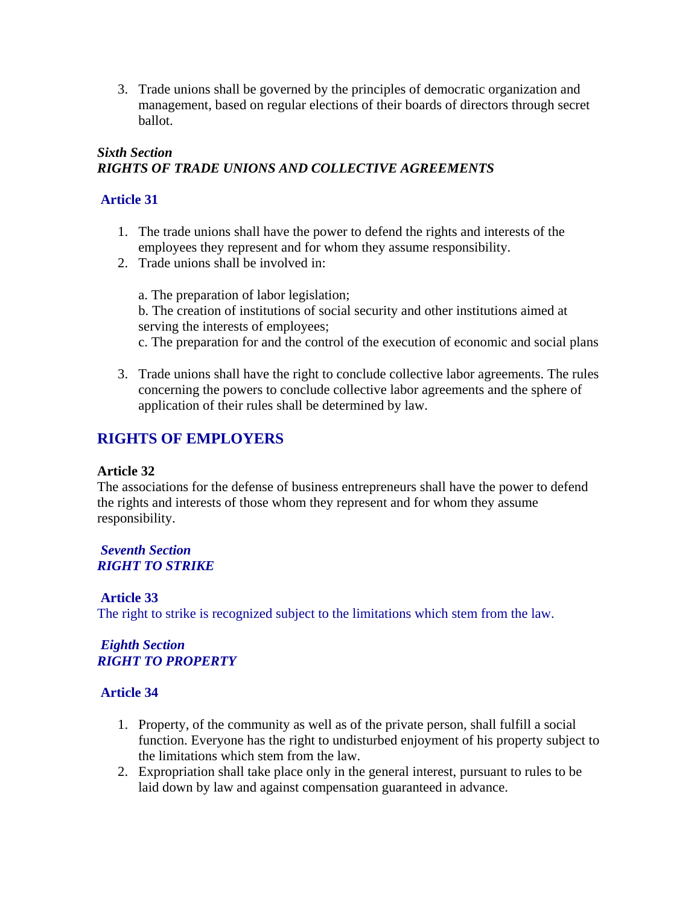3. Trade unions shall be governed by the principles of democratic organization and management, based on regular elections of their boards of directors through secret ballot.

## *Sixth Section RIGHTS OF TRADE UNIONS AND COLLECTIVE AGREEMENTS*

## **Article 31**

- 1. The trade unions shall have the power to defend the rights and interests of the employees they represent and for whom they assume responsibility.
- 2. Trade unions shall be involved in:

a. The preparation of labor legislation; b. The creation of institutions of social security and other institutions aimed at serving the interests of employees; c. The preparation for and the control of the execution of economic and social plans

3. Trade unions shall have the right to conclude collective labor agreements. The rules concerning the powers to conclude collective labor agreements and the sphere of application of their rules shall be determined by law.

## **RIGHTS OF EMPLOYERS**

#### **Article 32**

The associations for the defense of business entrepreneurs shall have the power to defend the rights and interests of those whom they represent and for whom they assume responsibility.

#### *Seventh Section RIGHT TO STRIKE*

## **Article 33**

The right to strike is recognized subject to the limitations which stem from the law.

## *Eighth Section RIGHT TO PROPERTY*

- 1. Property, of the community as well as of the private person, shall fulfill a social function. Everyone has the right to undisturbed enjoyment of his property subject to the limitations which stem from the law.
- 2. Expropriation shall take place only in the general interest, pursuant to rules to be laid down by law and against compensation guaranteed in advance.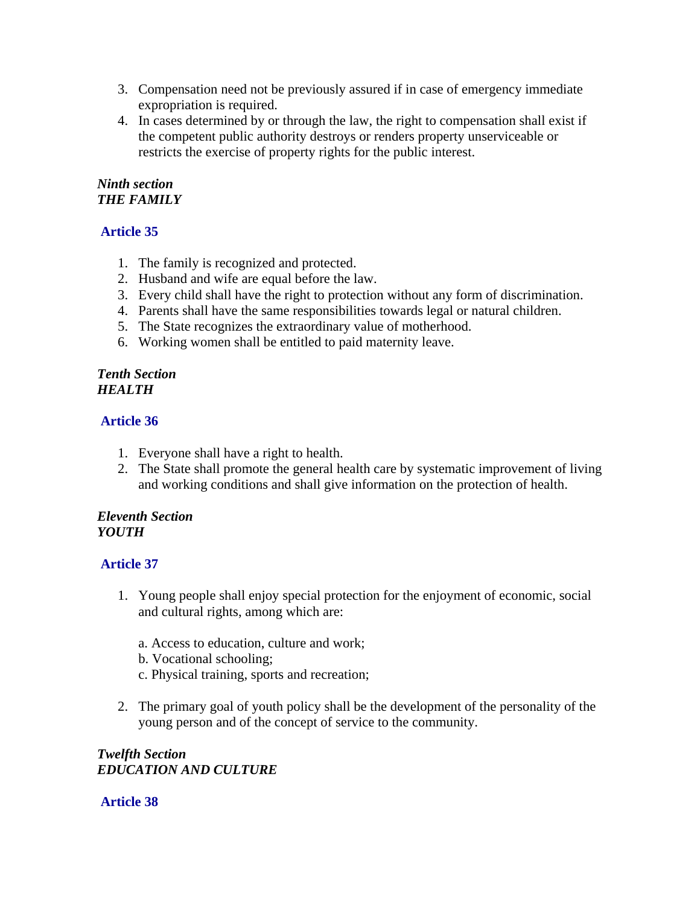- 3. Compensation need not be previously assured if in case of emergency immediate expropriation is required.
- 4. In cases determined by or through the law, the right to compensation shall exist if the competent public authority destroys or renders property unserviceable or restricts the exercise of property rights for the public interest.

#### *Ninth section THE FAMILY*

## **Article 35**

- 1. The family is recognized and protected.
- 2. Husband and wife are equal before the law.
- 3. Every child shall have the right to protection without any form of discrimination.
- 4. Parents shall have the same responsibilities towards legal or natural children.
- 5. The State recognizes the extraordinary value of motherhood.
- 6. Working women shall be entitled to paid maternity leave.

#### *Tenth Section HEALTH*

## **Article 36**

- 1. Everyone shall have a right to health.
- 2. The State shall promote the general health care by systematic improvement of living and working conditions and shall give information on the protection of health.

#### *Eleventh Section YOUTH*

## **Article 37**

- 1. Young people shall enjoy special protection for the enjoyment of economic, social and cultural rights, among which are:
	- a. Access to education, culture and work;
	- b. Vocational schooling;
	- c. Physical training, sports and recreation;
- 2. The primary goal of youth policy shall be the development of the personality of the young person and of the concept of service to the community.

*Twelfth Section EDUCATION AND CULTURE*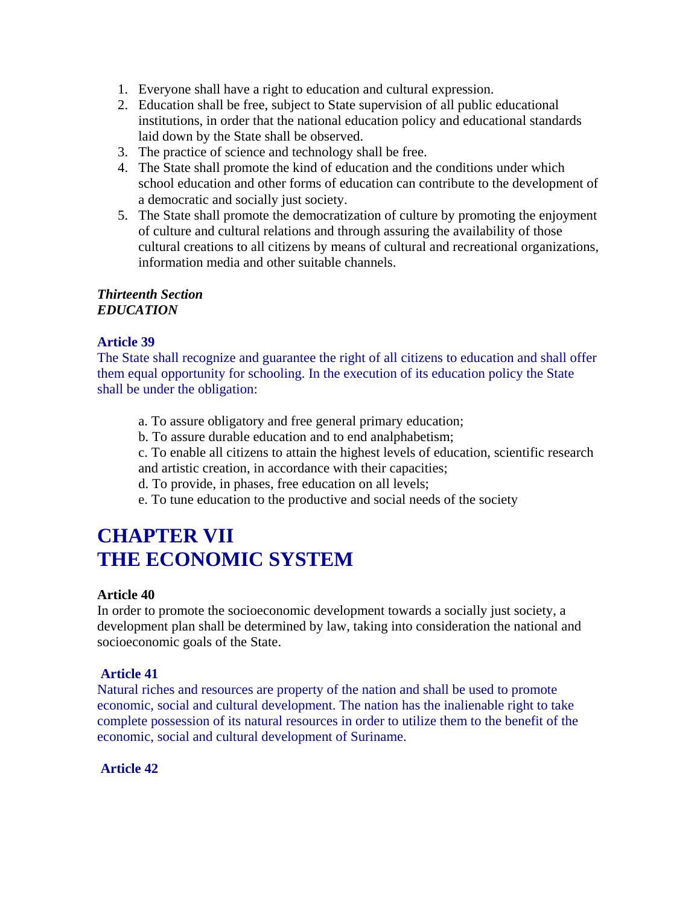- 1. Everyone shall have a right to education and cultural expression.
- 2. Education shall be free, subject to State supervision of all public educational institutions, in order that the national education policy and educational standards laid down by the State shall be observed.
- 3. The practice of science and technology shall be free.
- 4. The State shall promote the kind of education and the conditions under which school education and other forms of education can contribute to the development of a democratic and socially just society.
- 5. The State shall promote the democratization of culture by promoting the enjoyment of culture and cultural relations and through assuring the availability of those cultural creations to all citizens by means of cultural and recreational organizations, information media and other suitable channels.

#### *Thirteenth Section EDUCATION*

#### **Article 39**

The State shall recognize and guarantee the right of all citizens to education and shall offer them equal opportunity for schooling. In the execution of its education policy the State shall be under the obligation:

a. To assure obligatory and free general primary education;

b. To assure durable education and to end analphabetism;

c. To enable all citizens to attain the highest levels of education, scientific research

and artistic creation, in accordance with their capacities;

d. To provide, in phases, free education on all levels;

e. To tune education to the productive and social needs of the society

# **CHAPTER VII THE ECONOMIC SYSTEM**

#### **Article 40**

In order to promote the socioeconomic development towards a socially just society, a development plan shall be determined by law, taking into consideration the national and socioeconomic goals of the State.

#### **Article 41**

Natural riches and resources are property of the nation and shall be used to promote economic, social and cultural development. The nation has the inalienable right to take complete possession of its natural resources in order to utilize them to the benefit of the economic, social and cultural development of Suriname.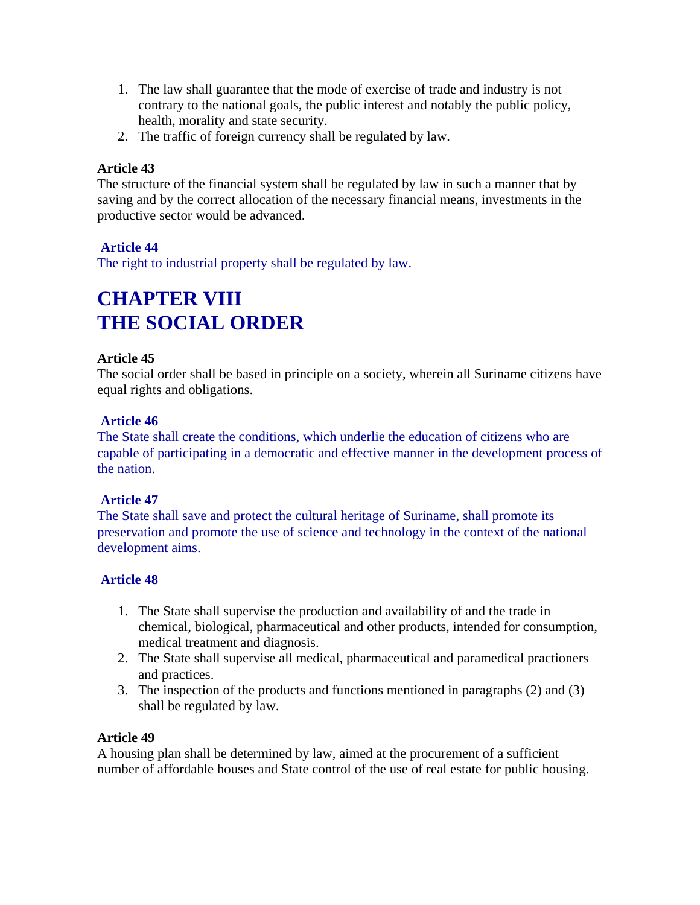- 1. The law shall guarantee that the mode of exercise of trade and industry is not contrary to the national goals, the public interest and notably the public policy, health, morality and state security.
- 2. The traffic of foreign currency shall be regulated by law.

The structure of the financial system shall be regulated by law in such a manner that by saving and by the correct allocation of the necessary financial means, investments in the productive sector would be advanced.

### **Article 44**

The right to industrial property shall be regulated by law.

# **CHAPTER VIII THE SOCIAL ORDER**

#### **Article 45**

The social order shall be based in principle on a society, wherein all Suriname citizens have equal rights and obligations.

#### **Article 46**

The State shall create the conditions, which underlie the education of citizens who are capable of participating in a democratic and effective manner in the development process of the nation.

#### **Article 47**

The State shall save and protect the cultural heritage of Suriname, shall promote its preservation and promote the use of science and technology in the context of the national development aims.

## **Article 48**

- 1. The State shall supervise the production and availability of and the trade in chemical, biological, pharmaceutical and other products, intended for consumption, medical treatment and diagnosis.
- 2. The State shall supervise all medical, pharmaceutical and paramedical practioners and practices.
- 3. The inspection of the products and functions mentioned in paragraphs (2) and (3) shall be regulated by law.

#### **Article 49**

A housing plan shall be determined by law, aimed at the procurement of a sufficient number of affordable houses and State control of the use of real estate for public housing.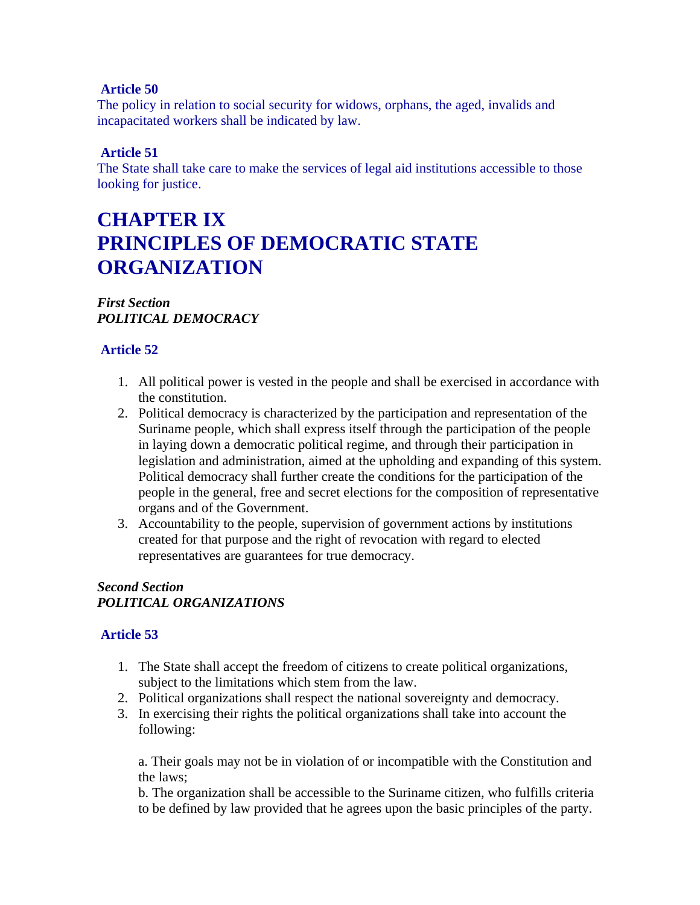The policy in relation to social security for widows, orphans, the aged, invalids and incapacitated workers shall be indicated by law.

### **Article 51**

The State shall take care to make the services of legal aid institutions accessible to those looking for justice.

# **CHAPTER IX PRINCIPLES OF DEMOCRATIC STATE ORGANIZATION**

## *First Section POLITICAL DEMOCRACY*

### **Article 52**

- 1. All political power is vested in the people and shall be exercised in accordance with the constitution.
- 2. Political democracy is characterized by the participation and representation of the Suriname people, which shall express itself through the participation of the people in laying down a democratic political regime, and through their participation in legislation and administration, aimed at the upholding and expanding of this system. Political democracy shall further create the conditions for the participation of the people in the general, free and secret elections for the composition of representative organs and of the Government.
- 3. Accountability to the people, supervision of government actions by institutions created for that purpose and the right of revocation with regard to elected representatives are guarantees for true democracy.

### *Second Section POLITICAL ORGANIZATIONS*

#### **Article 53**

- 1. The State shall accept the freedom of citizens to create political organizations, subject to the limitations which stem from the law.
- 2. Political organizations shall respect the national sovereignty and democracy.
- 3. In exercising their rights the political organizations shall take into account the following:

a. Their goals may not be in violation of or incompatible with the Constitution and the laws;

b. The organization shall be accessible to the Suriname citizen, who fulfills criteria to be defined by law provided that he agrees upon the basic principles of the party.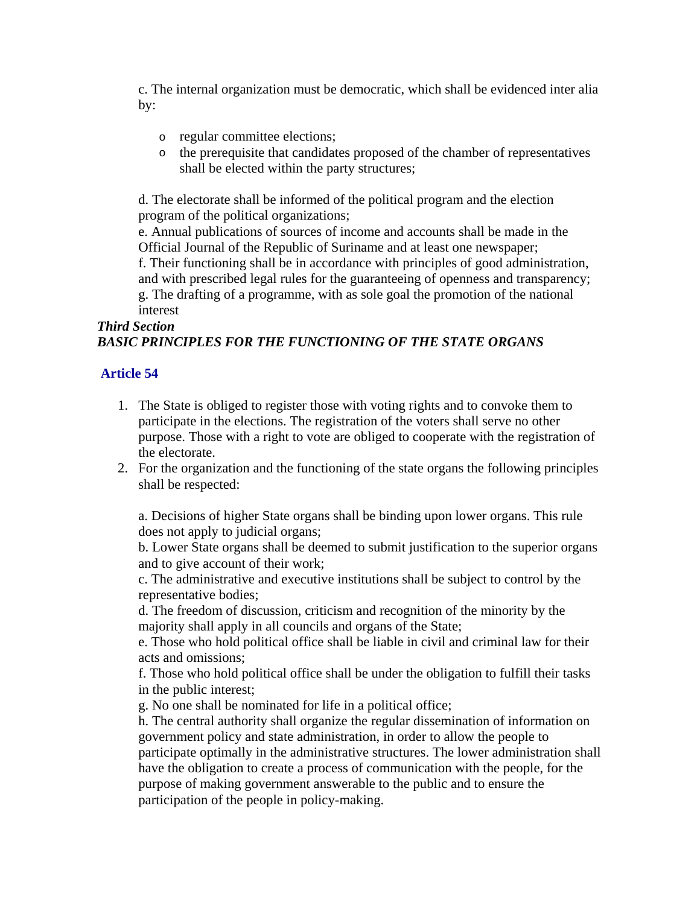c. The internal organization must be democratic, which shall be evidenced inter alia by:

- o regular committee elections;
- o the prerequisite that candidates proposed of the chamber of representatives shall be elected within the party structures;

d. The electorate shall be informed of the political program and the election program of the political organizations;

e. Annual publications of sources of income and accounts shall be made in the Official Journal of the Republic of Suriname and at least one newspaper; f. Their functioning shall be in accordance with principles of good administration, and with prescribed legal rules for the guaranteeing of openness and transparency; g. The drafting of a programme, with as sole goal the promotion of the national interest

#### *Third Section BASIC PRINCIPLES FOR THE FUNCTIONING OF THE STATE ORGANS*

### **Article 54**

- 1. The State is obliged to register those with voting rights and to convoke them to participate in the elections. The registration of the voters shall serve no other purpose. Those with a right to vote are obliged to cooperate with the registration of the electorate.
- 2. For the organization and the functioning of the state organs the following principles shall be respected:

a. Decisions of higher State organs shall be binding upon lower organs. This rule does not apply to judicial organs;

b. Lower State organs shall be deemed to submit justification to the superior organs and to give account of their work;

c. The administrative and executive institutions shall be subject to control by the representative bodies;

d. The freedom of discussion, criticism and recognition of the minority by the majority shall apply in all councils and organs of the State;

e. Those who hold political office shall be liable in civil and criminal law for their acts and omissions;

f. Those who hold political office shall be under the obligation to fulfill their tasks in the public interest;

g. No one shall be nominated for life in a political office;

h. The central authority shall organize the regular dissemination of information on government policy and state administration, in order to allow the people to participate optimally in the administrative structures. The lower administration shall have the obligation to create a process of communication with the people, for the purpose of making government answerable to the public and to ensure the participation of the people in policy-making.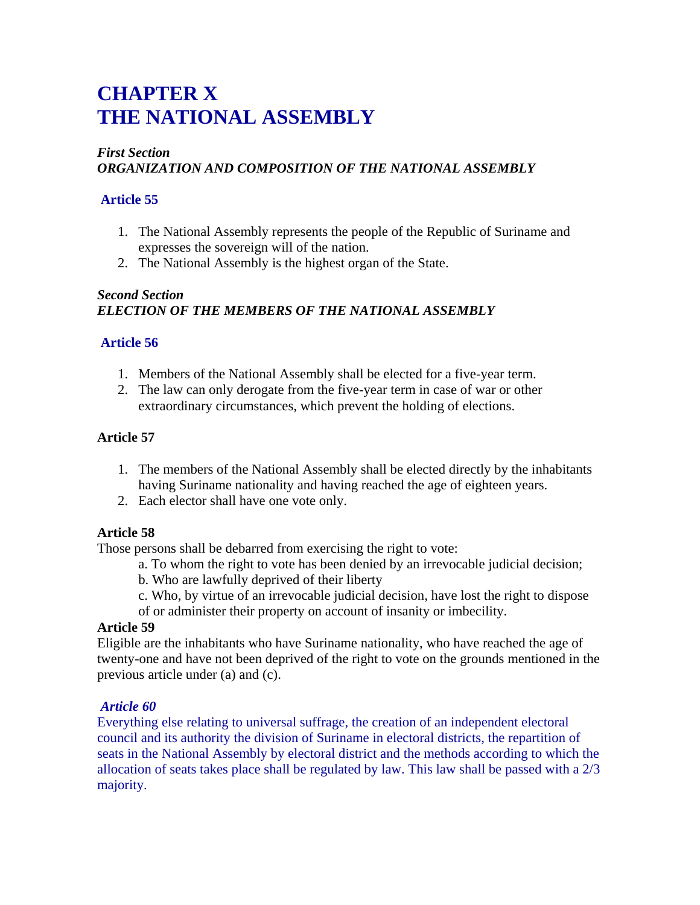# **CHAPTER X THE NATIONAL ASSEMBLY**

## *First Section ORGANIZATION AND COMPOSITION OF THE NATIONAL ASSEMBLY*

## **Article 55**

- 1. The National Assembly represents the people of the Republic of Suriname and expresses the sovereign will of the nation.
- 2. The National Assembly is the highest organ of the State.

## *Second Section ELECTION OF THE MEMBERS OF THE NATIONAL ASSEMBLY*

#### **Article 56**

- 1. Members of the National Assembly shall be elected for a five-year term.
- 2. The law can only derogate from the five-year term in case of war or other extraordinary circumstances, which prevent the holding of elections.

#### **Article 57**

- 1. The members of the National Assembly shall be elected directly by the inhabitants having Suriname nationality and having reached the age of eighteen years.
- 2. Each elector shall have one vote only.

#### **Article 58**

Those persons shall be debarred from exercising the right to vote:

- a. To whom the right to vote has been denied by an irrevocable judicial decision;
- b. Who are lawfully deprived of their liberty
- c. Who, by virtue of an irrevocable judicial decision, have lost the right to dispose
- of or administer their property on account of insanity or imbecility.

#### **Article 59**

Eligible are the inhabitants who have Suriname nationality, who have reached the age of twenty-one and have not been deprived of the right to vote on the grounds mentioned in the previous article under (a) and (c).

#### *Article 60*

Everything else relating to universal suffrage, the creation of an independent electoral council and its authority the division of Suriname in electoral districts, the repartition of seats in the National Assembly by electoral district and the methods according to which the allocation of seats takes place shall be regulated by law. This law shall be passed with a 2/3 majority.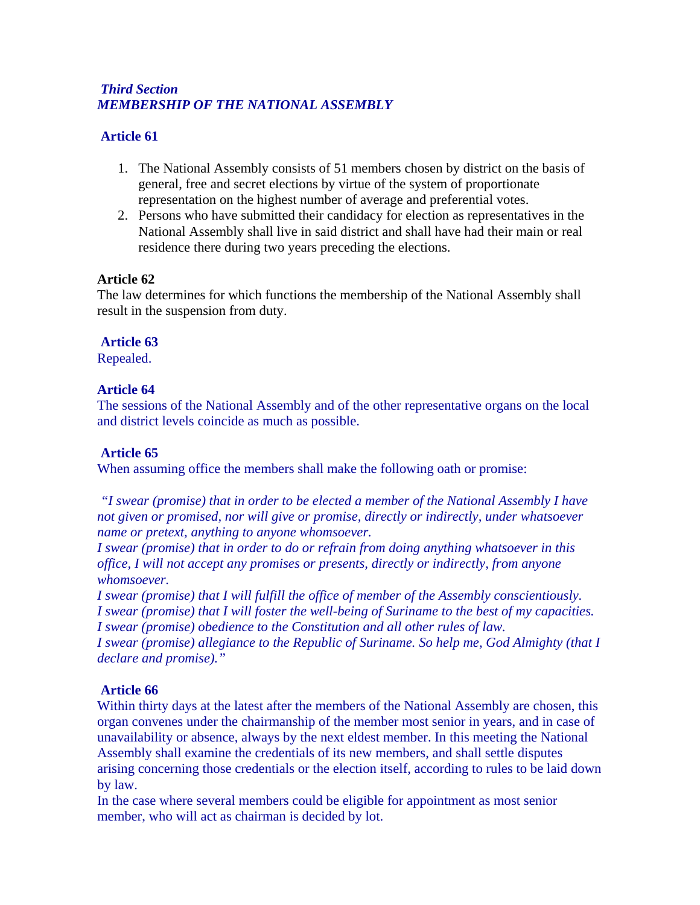#### *Third Section MEMBERSHIP OF THE NATIONAL ASSEMBLY*

### **Article 61**

- 1. The National Assembly consists of 51 members chosen by district on the basis of general, free and secret elections by virtue of the system of proportionate representation on the highest number of average and preferential votes.
- 2. Persons who have submitted their candidacy for election as representatives in the National Assembly shall live in said district and shall have had their main or real residence there during two years preceding the elections.

#### **Article 62**

The law determines for which functions the membership of the National Assembly shall result in the suspension from duty.

#### **Article 63**

Repealed.

#### **Article 64**

The sessions of the National Assembly and of the other representative organs on the local and district levels coincide as much as possible.

### **Article 65**

When assuming office the members shall make the following oath or promise:

*"I swear (promise) that in order to be elected a member of the National Assembly I have not given or promised, nor will give or promise, directly or indirectly, under whatsoever name or pretext, anything to anyone whomsoever.*

*I swear (promise) that in order to do or refrain from doing anything whatsoever in this office, I will not accept any promises or presents, directly or indirectly, from anyone whomsoever.*

*I swear (promise) that I will fulfill the office of member of the Assembly conscientiously. I swear (promise) that I will foster the well-being of Suriname to the best of my capacities. I swear (promise) obedience to the Constitution and all other rules of law.*

*I swear (promise) allegiance to the Republic of Suriname. So help me, God Almighty (that I declare and promise)."*

#### **Article 66**

Within thirty days at the latest after the members of the National Assembly are chosen, this organ convenes under the chairmanship of the member most senior in years, and in case of unavailability or absence, always by the next eldest member. In this meeting the National Assembly shall examine the credentials of its new members, and shall settle disputes arising concerning those credentials or the election itself, according to rules to be laid down by law.

In the case where several members could be eligible for appointment as most senior member, who will act as chairman is decided by lot.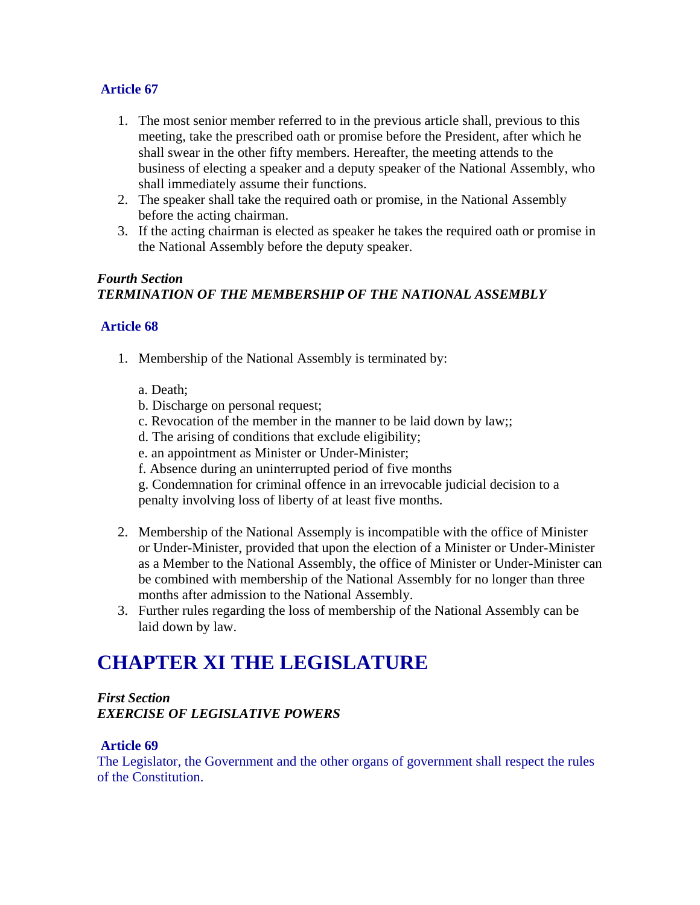- 1. The most senior member referred to in the previous article shall, previous to this meeting, take the prescribed oath or promise before the President, after which he shall swear in the other fifty members. Hereafter, the meeting attends to the business of electing a speaker and a deputy speaker of the National Assembly, who shall immediately assume their functions.
- 2. The speaker shall take the required oath or promise, in the National Assembly before the acting chairman.
- 3. If the acting chairman is elected as speaker he takes the required oath or promise in the National Assembly before the deputy speaker.

#### *Fourth Section TERMINATION OF THE MEMBERSHIP OF THE NATIONAL ASSEMBLY*

#### **Article 68**

- 1. Membership of the National Assembly is terminated by:
	- a. Death;
	- b. Discharge on personal request;
	- c. Revocation of the member in the manner to be laid down by law;;
	- d. The arising of conditions that exclude eligibility;
	- e. an appointment as Minister or Under-Minister;
	- f. Absence during an uninterrupted period of five months

g. Condemnation for criminal offence in an irrevocable judicial decision to a penalty involving loss of liberty of at least five months.

- 2. Membership of the National Assemply is incompatible with the office of Minister or Under-Minister, provided that upon the election of a Minister or Under-Minister as a Member to the National Assembly, the office of Minister or Under-Minister can be combined with membership of the National Assembly for no longer than three months after admission to the National Assembly.
- 3. Further rules regarding the loss of membership of the National Assembly can be laid down by law.

# **CHAPTER XI THE LEGISLATURE**

#### *First Section EXERCISE OF LEGISLATIVE POWERS*

#### **Article 69**

The Legislator, the Government and the other organs of government shall respect the rules of the Constitution.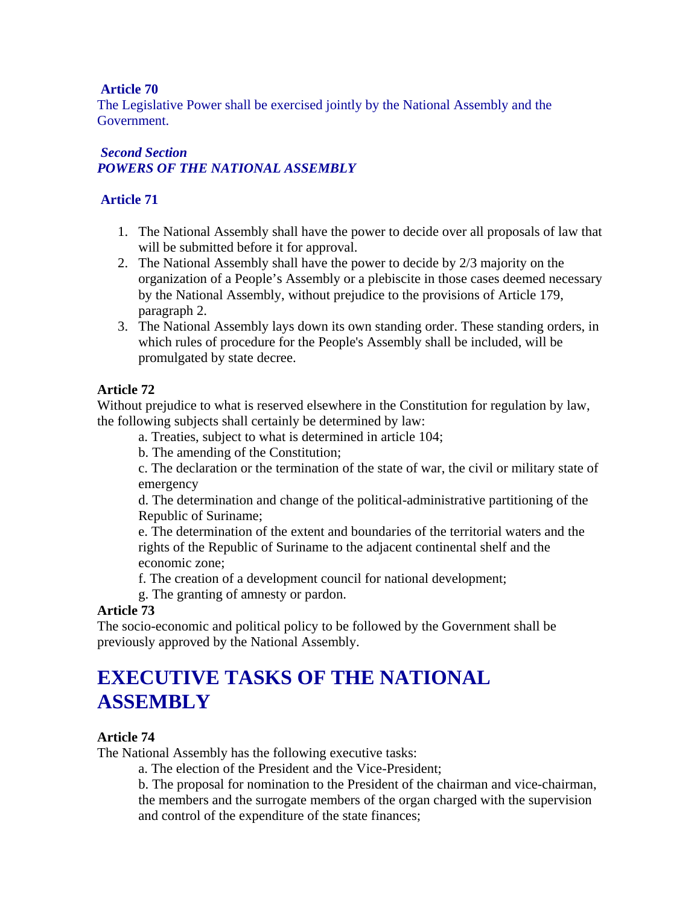The Legislative Power shall be exercised jointly by the National Assembly and the Government.

#### *Second Section POWERS OF THE NATIONAL ASSEMBLY*

### **Article 71**

- 1. The National Assembly shall have the power to decide over all proposals of law that will be submitted before it for approval.
- 2. The National Assembly shall have the power to decide by 2/3 majority on the organization of a People's Assembly or a plebiscite in those cases deemed necessary by the National Assembly, without prejudice to the provisions of Article 179, paragraph 2.
- 3. The National Assembly lays down its own standing order. These standing orders, in which rules of procedure for the People's Assembly shall be included, will be promulgated by state decree.

### **Article 72**

Without prejudice to what is reserved elsewhere in the Constitution for regulation by law, the following subjects shall certainly be determined by law:

- a. Treaties, subject to what is determined in article 104;
- b. The amending of the Constitution;

c. The declaration or the termination of the state of war, the civil or military state of emergency

d. The determination and change of the political-administrative partitioning of the Republic of Suriname;

e. The determination of the extent and boundaries of the territorial waters and the rights of the Republic of Suriname to the adjacent continental shelf and the economic zone;

f. The creation of a development council for national development;

g. The granting of amnesty or pardon.

#### **Article 73**

The socio-economic and political policy to be followed by the Government shall be previously approved by the National Assembly.

# **EXECUTIVE TASKS OF THE NATIONAL ASSEMBLY**

#### **Article 74**

The National Assembly has the following executive tasks:

a. The election of the President and the Vice-President;

b. The proposal for nomination to the President of the chairman and vice-chairman,

the members and the surrogate members of the organ charged with the supervision and control of the expenditure of the state finances;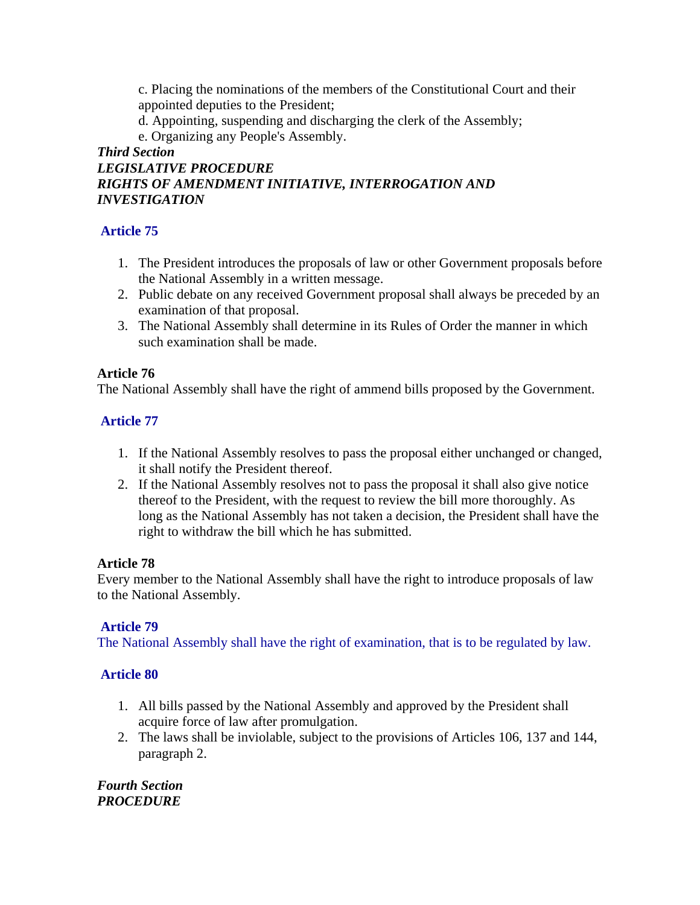c. Placing the nominations of the members of the Constitutional Court and their appointed deputies to the President;

d. Appointing, suspending and discharging the clerk of the Assembly;

e. Organizing any People's Assembly.

#### *Third Section LEGISLATIVE PROCEDURE RIGHTS OF AMENDMENT INITIATIVE, INTERROGATION AND INVESTIGATION*

### **Article 75**

- 1. The President introduces the proposals of law or other Government proposals before the National Assembly in a written message.
- 2. Public debate on any received Government proposal shall always be preceded by an examination of that proposal.
- 3. The National Assembly shall determine in its Rules of Order the manner in which such examination shall be made.

#### **Article 76**

The National Assembly shall have the right of ammend bills proposed by the Government.

## **Article 77**

- 1. If the National Assembly resolves to pass the proposal either unchanged or changed, it shall notify the President thereof.
- 2. If the National Assembly resolves not to pass the proposal it shall also give notice thereof to the President, with the request to review the bill more thoroughly. As long as the National Assembly has not taken a decision, the President shall have the right to withdraw the bill which he has submitted.

#### **Article 78**

Every member to the National Assembly shall have the right to introduce proposals of law to the National Assembly.

#### **Article 79**

The National Assembly shall have the right of examination, that is to be regulated by law.

## **Article 80**

- 1. All bills passed by the National Assembly and approved by the President shall acquire force of law after promulgation.
- 2. The laws shall be inviolable, subject to the provisions of Articles 106, 137 and 144, paragraph 2.

*Fourth Section PROCEDURE*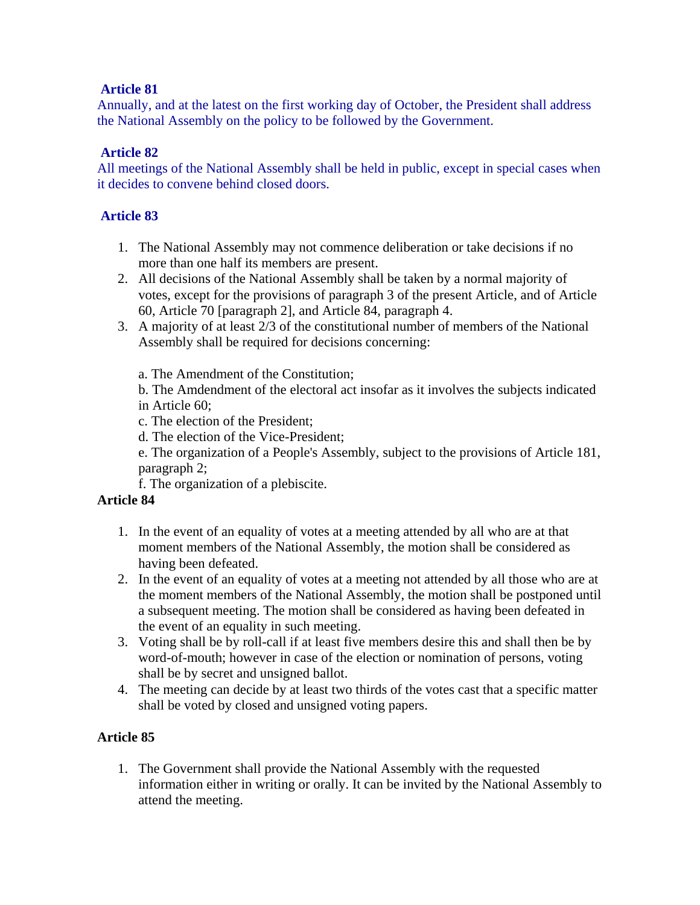Annually, and at the latest on the first working day of October, the President shall address the National Assembly on the policy to be followed by the Government.

### **Article 82**

All meetings of the National Assembly shall be held in public, except in special cases when it decides to convene behind closed doors.

## **Article 83**

- 1. The National Assembly may not commence deliberation or take decisions if no more than one half its members are present.
- 2. All decisions of the National Assembly shall be taken by a normal majority of votes, except for the provisions of paragraph 3 of the present Article, and of Article 60, Article 70 [paragraph 2], and Article 84, paragraph 4.
- 3. A majority of at least 2/3 of the constitutional number of members of the National Assembly shall be required for decisions concerning:

a. The Amendment of the Constitution;

b. The Amdendment of the electoral act insofar as it involves the subjects indicated in Article 60;

- c. The election of the President;
- d. The election of the Vice-President;

e. The organization of a People's Assembly, subject to the provisions of Article 181, paragraph 2;

f. The organization of a plebiscite.

#### **Article 84**

- 1. In the event of an equality of votes at a meeting attended by all who are at that moment members of the National Assembly, the motion shall be considered as having been defeated.
- 2. In the event of an equality of votes at a meeting not attended by all those who are at the moment members of the National Assembly, the motion shall be postponed until a subsequent meeting. The motion shall be considered as having been defeated in the event of an equality in such meeting.
- 3. Voting shall be by roll-call if at least five members desire this and shall then be by word-of-mouth; however in case of the election or nomination of persons, voting shall be by secret and unsigned ballot.
- 4. The meeting can decide by at least two thirds of the votes cast that a specific matter shall be voted by closed and unsigned voting papers.

## **Article 85**

1. The Government shall provide the National Assembly with the requested information either in writing or orally. It can be invited by the National Assembly to attend the meeting.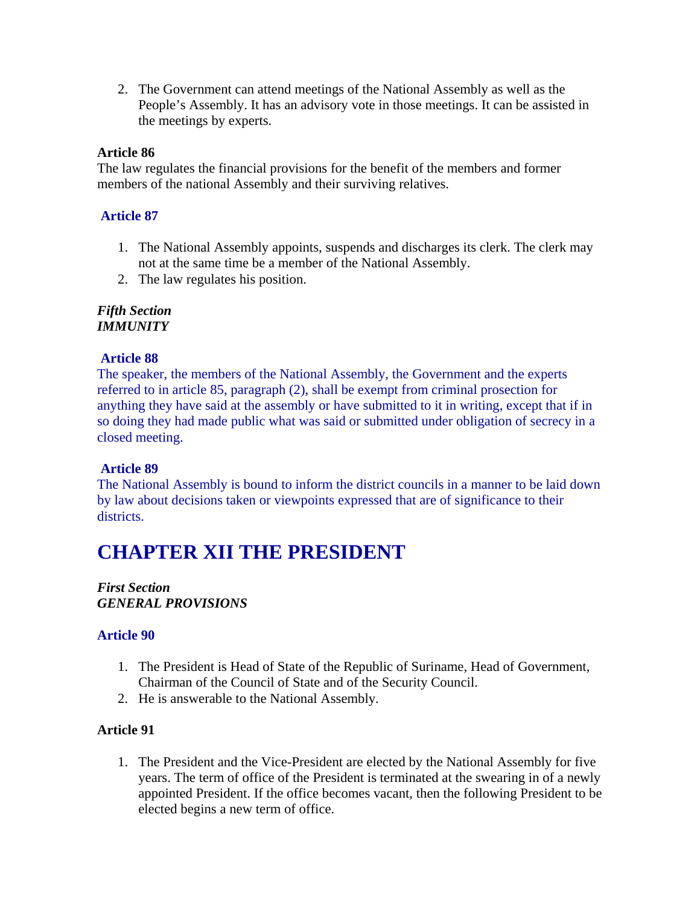2. The Government can attend meetings of the National Assembly as well as the People's Assembly. It has an advisory vote in those meetings. It can be assisted in the meetings by experts.

#### **Article 86**

The law regulates the financial provisions for the benefit of the members and former members of the national Assembly and their surviving relatives.

### **Article 87**

- 1. The National Assembly appoints, suspends and discharges its clerk. The clerk may not at the same time be a member of the National Assembly.
- 2. The law regulates his position.

#### *Fifth Section IMMUNITY*

#### **Article 88**

The speaker, the members of the National Assembly, the Government and the experts referred to in article 85, paragraph (2), shall be exempt from criminal prosection for anything they have said at the assembly or have submitted to it in writing, except that if in so doing they had made public what was said or submitted under obligation of secrecy in a closed meeting.

#### **Article 89**

The National Assembly is bound to inform the district councils in a manner to be laid down by law about decisions taken or viewpoints expressed that are of significance to their districts.

# **CHAPTER XII THE PRESIDENT**

#### *First Section GENERAL PROVISIONS*

#### **Article 90**

- 1. The President is Head of State of the Republic of Suriname, Head of Government, Chairman of the Council of State and of the Security Council.
- 2. He is answerable to the National Assembly.

#### **Article 91**

1. The President and the Vice-President are elected by the National Assembly for five years. The term of office of the President is terminated at the swearing in of a newly appointed President. If the office becomes vacant, then the following President to be elected begins a new term of office.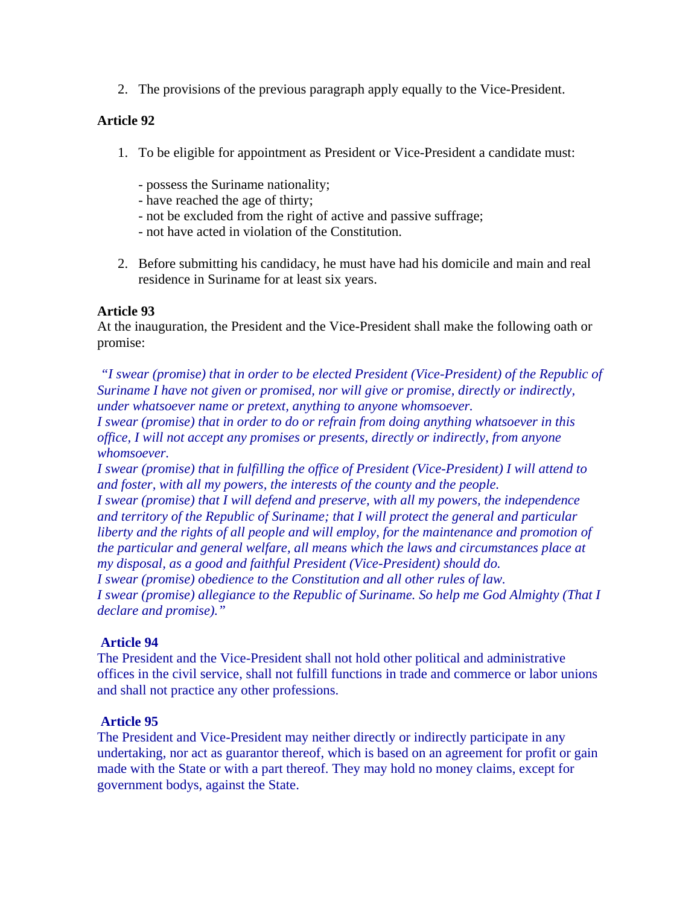2. The provisions of the previous paragraph apply equally to the Vice-President.

#### **Article 92**

- 1. To be eligible for appointment as President or Vice-President a candidate must:
	- possess the Suriname nationality;
	- have reached the age of thirty;
	- not be excluded from the right of active and passive suffrage;
	- not have acted in violation of the Constitution.
- 2. Before submitting his candidacy, he must have had his domicile and main and real residence in Suriname for at least six years.

#### **Article 93**

At the inauguration, the President and the Vice-President shall make the following oath or promise:

*"I swear (promise) that in order to be elected President (Vice-President) of the Republic of Suriname I have not given or promised, nor will give or promise, directly or indirectly, under whatsoever name or pretext, anything to anyone whomsoever.*

*I swear (promise) that in order to do or refrain from doing anything whatsoever in this office, I will not accept any promises or presents, directly or indirectly, from anyone whomsoever.*

*I swear (promise) that in fulfilling the office of President (Vice-President) I will attend to and foster, with all my powers, the interests of the county and the people.*

*I swear (promise) that I will defend and preserve, with all my powers, the independence and territory of the Republic of Suriname; that I will protect the general and particular liberty and the rights of all people and will employ, for the maintenance and promotion of the particular and general welfare, all means which the laws and circumstances place at my disposal, as a good and faithful President (Vice-President) should do.*

*I swear (promise) obedience to the Constitution and all other rules of law.*

*I swear (promise) allegiance to the Republic of Suriname. So help me God Almighty (That I declare and promise)."*

#### **Article 94**

The President and the Vice-President shall not hold other political and administrative offices in the civil service, shall not fulfill functions in trade and commerce or labor unions and shall not practice any other professions.

#### **Article 95**

The President and Vice-President may neither directly or indirectly participate in any undertaking, nor act as guarantor thereof, which is based on an agreement for profit or gain made with the State or with a part thereof. They may hold no money claims, except for government bodys, against the State.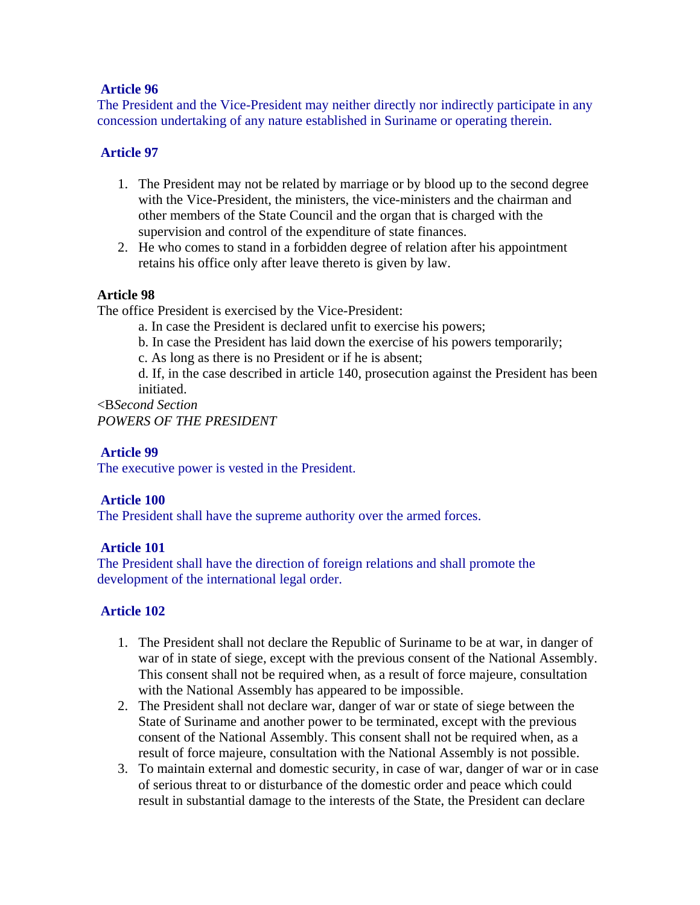The President and the Vice-President may neither directly nor indirectly participate in any concession undertaking of any nature established in Suriname or operating therein.

#### **Article 97**

- 1. The President may not be related by marriage or by blood up to the second degree with the Vice-President, the ministers, the vice-ministers and the chairman and other members of the State Council and the organ that is charged with the supervision and control of the expenditure of state finances.
- 2. He who comes to stand in a forbidden degree of relation after his appointment retains his office only after leave thereto is given by law.

#### **Article 98**

The office President is exercised by the Vice-President:

- a. In case the President is declared unfit to exercise his powers;
- b. In case the President has laid down the exercise of his powers temporarily;
- c. As long as there is no President or if he is absent;

d. If, in the case described in article 140, prosecution against the President has been initiated.

<B*Second Section POWERS OF THE PRESIDENT*

#### **Article 99**

The executive power is vested in the President.

#### **Article 100**

The President shall have the supreme authority over the armed forces.

#### **Article 101**

The President shall have the direction of foreign relations and shall promote the development of the international legal order.

- 1. The President shall not declare the Republic of Suriname to be at war, in danger of war of in state of siege, except with the previous consent of the National Assembly. This consent shall not be required when, as a result of force majeure, consultation with the National Assembly has appeared to be impossible.
- 2. The President shall not declare war, danger of war or state of siege between the State of Suriname and another power to be terminated, except with the previous consent of the National Assembly. This consent shall not be required when, as a result of force majeure, consultation with the National Assembly is not possible.
- 3. To maintain external and domestic security, in case of war, danger of war or in case of serious threat to or disturbance of the domestic order and peace which could result in substantial damage to the interests of the State, the President can declare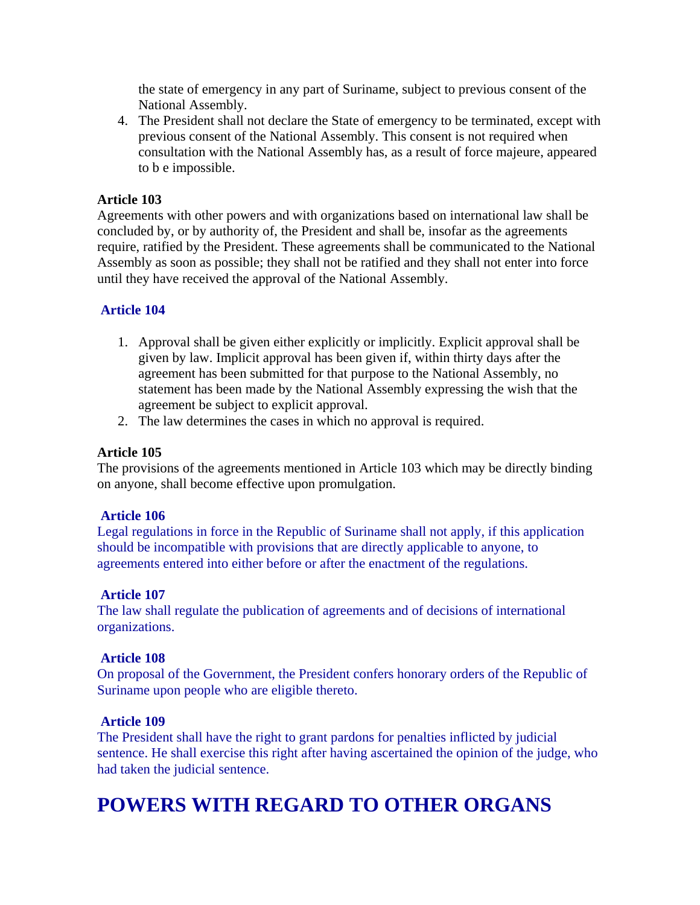the state of emergency in any part of Suriname, subject to previous consent of the National Assembly.

4. The President shall not declare the State of emergency to be terminated, except with previous consent of the National Assembly. This consent is not required when consultation with the National Assembly has, as a result of force majeure, appeared to b e impossible.

### **Article 103**

Agreements with other powers and with organizations based on international law shall be concluded by, or by authority of, the President and shall be, insofar as the agreements require, ratified by the President. These agreements shall be communicated to the National Assembly as soon as possible; they shall not be ratified and they shall not enter into force until they have received the approval of the National Assembly.

### **Article 104**

- 1. Approval shall be given either explicitly or implicitly. Explicit approval shall be given by law. Implicit approval has been given if, within thirty days after the agreement has been submitted for that purpose to the National Assembly, no statement has been made by the National Assembly expressing the wish that the agreement be subject to explicit approval.
- 2. The law determines the cases in which no approval is required.

#### **Article 105**

The provisions of the agreements mentioned in Article 103 which may be directly binding on anyone, shall become effective upon promulgation.

#### **Article 106**

Legal regulations in force in the Republic of Suriname shall not apply, if this application should be incompatible with provisions that are directly applicable to anyone, to agreements entered into either before or after the enactment of the regulations.

#### **Article 107**

The law shall regulate the publication of agreements and of decisions of international organizations.

#### **Article 108**

On proposal of the Government, the President confers honorary orders of the Republic of Suriname upon people who are eligible thereto.

#### **Article 109**

The President shall have the right to grant pardons for penalties inflicted by judicial sentence. He shall exercise this right after having ascertained the opinion of the judge, who had taken the judicial sentence.

# **POWERS WITH REGARD TO OTHER ORGANS**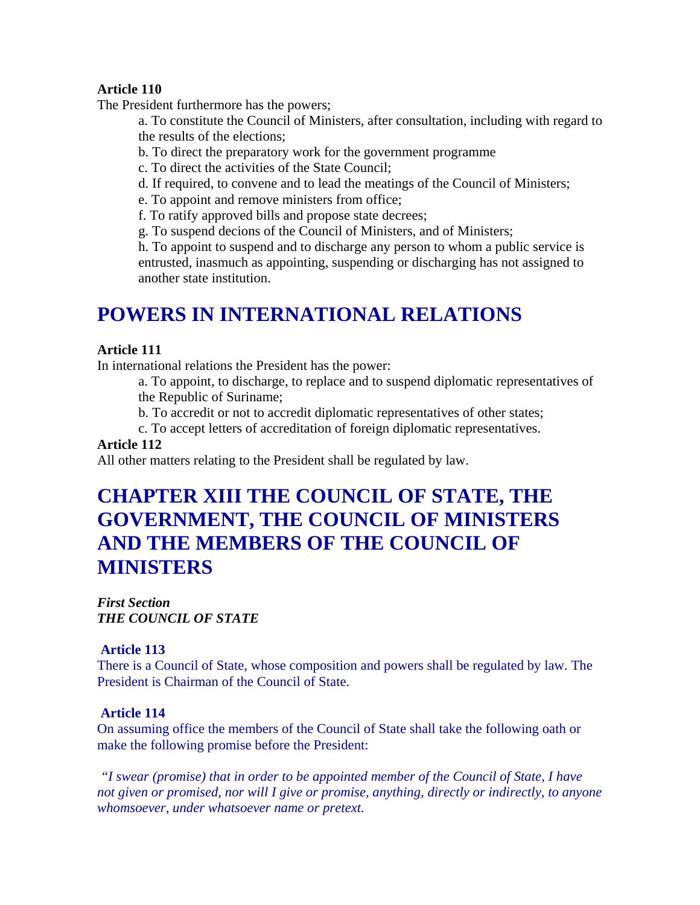The President furthermore has the powers;

a. To constitute the Council of Ministers, after consultation, including with regard to the results of the elections;

b. To direct the preparatory work for the government programme

c. To direct the activities of the State Council;

d. If required, to convene and to lead the meatings of the Council of Ministers;

e. To appoint and remove ministers from office;

f. To ratify approved bills and propose state decrees;

g. To suspend decions of the Council of Ministers, and of Ministers;

h. To appoint to suspend and to discharge any person to whom a public service is entrusted, inasmuch as appointing, suspending or discharging has not assigned to another state institution.

# **POWERS IN INTERNATIONAL RELATIONS**

#### **Article 111**

In international relations the President has the power:

a. To appoint, to discharge, to replace and to suspend diplomatic representatives of the Republic of Suriname;

b. To accredit or not to accredit diplomatic representatives of other states;

c. To accept letters of accreditation of foreign diplomatic representatives.

#### **Article 112**

All other matters relating to the President shall be regulated by law.

# **CHAPTER XIII THE COUNCIL OF STATE, THE GOVERNMENT, THE COUNCIL OF MINISTERS AND THE MEMBERS OF THE COUNCIL OF MINISTERS**

*First Section THE COUNCIL OF STATE*

#### **Article 113**

There is a Council of State, whose composition and powers shall be regulated by law. The President is Chairman of the Council of State.

#### **Article 114**

On assuming office the members of the Council of State shall take the following oath or make the following promise before the President:

*"I swear (promise) that in order to be appointed member of the Council of State, I have not given or promised, nor will I give or promise, anything, directly or indirectly, to anyone whomsoever, under whatsoever name or pretext.*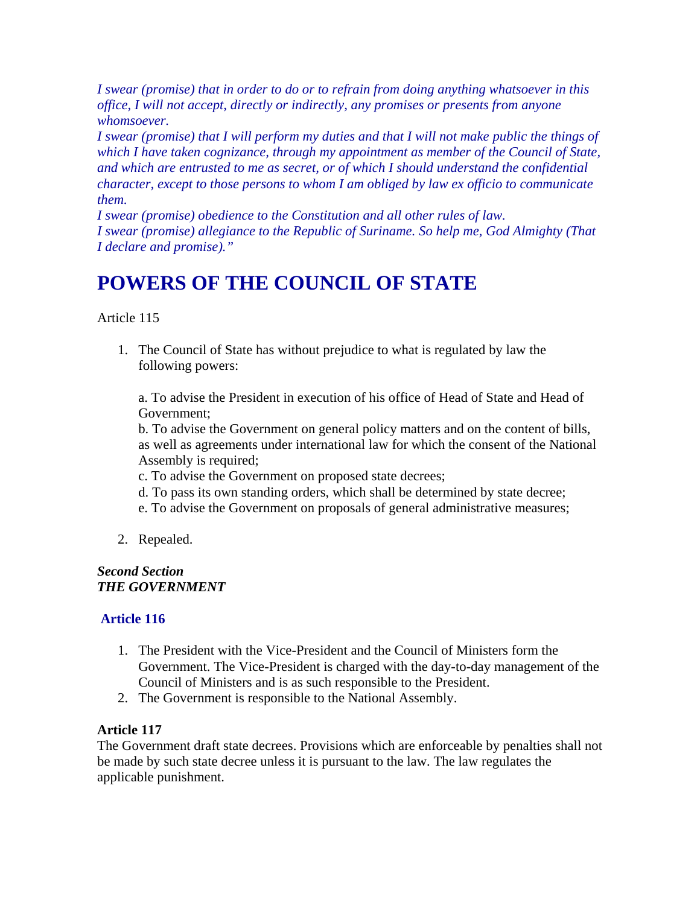*I swear (promise) that in order to do or to refrain from doing anything whatsoever in this office, I will not accept, directly or indirectly, any promises or presents from anyone whomsoever.*

*I swear (promise) that I will perform my duties and that I will not make public the things of which I have taken cognizance, through my appointment as member of the Council of State, and which are entrusted to me as secret, or of which I should understand the confidential character, except to those persons to whom I am obliged by law ex officio to communicate them.*

*I swear (promise) obedience to the Constitution and all other rules of law. I swear (promise) allegiance to the Republic of Suriname. So help me, God Almighty (That I declare and promise)."*

# **POWERS OF THE COUNCIL OF STATE**

Article 115

1. The Council of State has without prejudice to what is regulated by law the following powers:

a. To advise the President in execution of his office of Head of State and Head of Government;

b. To advise the Government on general policy matters and on the content of bills, as well as agreements under international law for which the consent of the National Assembly is required;

- c. To advise the Government on proposed state decrees;
- d. To pass its own standing orders, which shall be determined by state decree;
- e. To advise the Government on proposals of general administrative measures;
- 2. Repealed.

#### *Second Section THE GOVERNMENT*

#### **Article 116**

- 1. The President with the Vice-President and the Council of Ministers form the Government. The Vice-President is charged with the day-to-day management of the Council of Ministers and is as such responsible to the President.
- 2. The Government is responsible to the National Assembly.

#### **Article 117**

The Government draft state decrees. Provisions which are enforceable by penalties shall not be made by such state decree unless it is pursuant to the law. The law regulates the applicable punishment.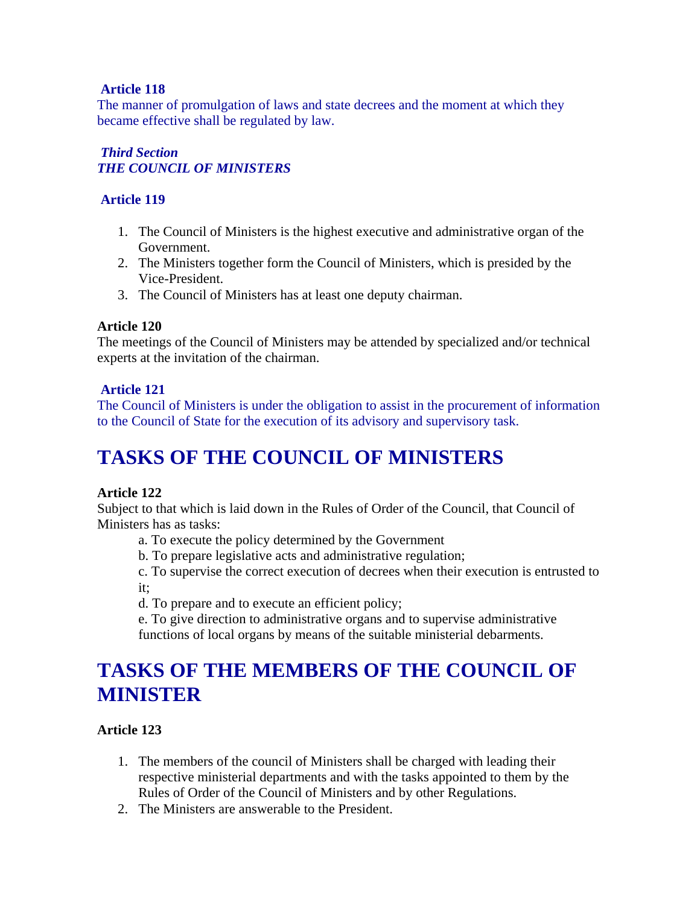The manner of promulgation of laws and state decrees and the moment at which they became effective shall be regulated by law.

### *Third Section THE COUNCIL OF MINISTERS*

#### **Article 119**

- 1. The Council of Ministers is the highest executive and administrative organ of the Government.
- 2. The Ministers together form the Council of Ministers, which is presided by the Vice-President.
- 3. The Council of Ministers has at least one deputy chairman.

### **Article 120**

The meetings of the Council of Ministers may be attended by specialized and/or technical experts at the invitation of the chairman.

### **Article 121**

The Council of Ministers is under the obligation to assist in the procurement of information to the Council of State for the execution of its advisory and supervisory task.

# **TASKS OF THE COUNCIL OF MINISTERS**

#### **Article 122**

Subject to that which is laid down in the Rules of Order of the Council, that Council of Ministers has as tasks:

- a. To execute the policy determined by the Government
- b. To prepare legislative acts and administrative regulation;

c. To supervise the correct execution of decrees when their execution is entrusted to it;

d. To prepare and to execute an efficient policy;

e. To give direction to administrative organs and to supervise administrative functions of local organs by means of the suitable ministerial debarments.

# **TASKS OF THE MEMBERS OF THE COUNCIL OF MINISTER**

- 1. The members of the council of Ministers shall be charged with leading their respective ministerial departments and with the tasks appointed to them by the Rules of Order of the Council of Ministers and by other Regulations.
- 2. The Ministers are answerable to the President.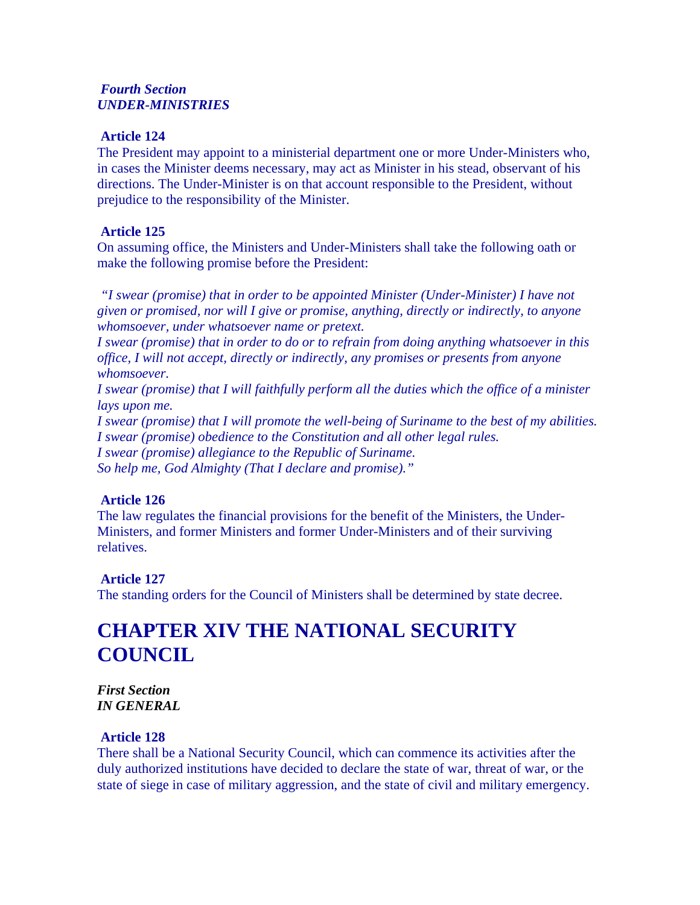#### *Fourth Section UNDER-MINISTRIES*

#### **Article 124**

The President may appoint to a ministerial department one or more Under-Ministers who, in cases the Minister deems necessary, may act as Minister in his stead, observant of his directions. The Under-Minister is on that account responsible to the President, without prejudice to the responsibility of the Minister.

#### **Article 125**

On assuming office, the Ministers and Under-Ministers shall take the following oath or make the following promise before the President:

*"I swear (promise) that in order to be appointed Minister (Under-Minister) I have not given or promised, nor will I give or promise, anything, directly or indirectly, to anyone whomsoever, under whatsoever name or pretext.*

*I swear (promise) that in order to do or to refrain from doing anything whatsoever in this office, I will not accept, directly or indirectly, any promises or presents from anyone whomsoever.*

*I swear (promise) that I will faithfully perform all the duties which the office of a minister lays upon me.*

*I swear (promise) that I will promote the well-being of Suriname to the best of my abilities. I swear (promise) obedience to the Constitution and all other legal rules. I swear (promise) allegiance to the Republic of Suriname.*

*So help me, God Almighty (That I declare and promise)."*

#### **Article 126**

The law regulates the financial provisions for the benefit of the Ministers, the Under-Ministers, and former Ministers and former Under-Ministers and of their surviving relatives.

## **Article 127**

The standing orders for the Council of Ministers shall be determined by state decree.

# **CHAPTER XIV THE NATIONAL SECURITY COUNCIL**

*First Section IN GENERAL*

#### **Article 128**

There shall be a National Security Council, which can commence its activities after the duly authorized institutions have decided to declare the state of war, threat of war, or the state of siege in case of military aggression, and the state of civil and military emergency.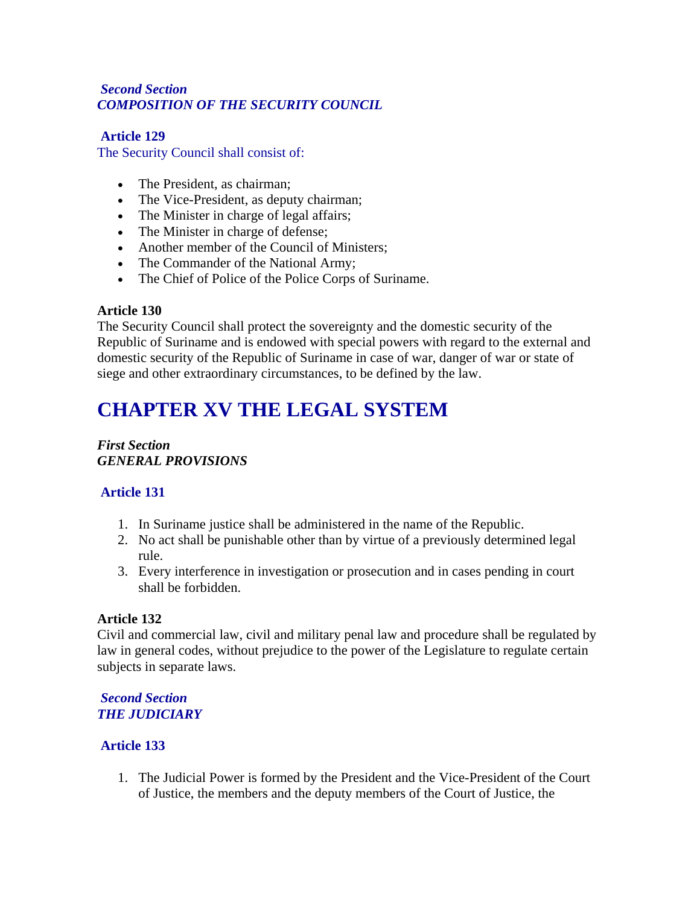#### *Second Section COMPOSITION OF THE SECURITY COUNCIL*

### **Article 129**

The Security Council shall consist of:

- The President, as chairman:
- The Vice-President, as deputy chairman;
- The Minister in charge of legal affairs;
- The Minister in charge of defense;
- Another member of the Council of Ministers:
- The Commander of the National Army;
- The Chief of Police of the Police Corps of Suriname.

### **Article 130**

The Security Council shall protect the sovereignty and the domestic security of the Republic of Suriname and is endowed with special powers with regard to the external and domestic security of the Republic of Suriname in case of war, danger of war or state of siege and other extraordinary circumstances, to be defined by the law.

# **CHAPTER XV THE LEGAL SYSTEM**

#### *First Section GENERAL PROVISIONS*

## **Article 131**

- 1. In Suriname justice shall be administered in the name of the Republic.
- 2. No act shall be punishable other than by virtue of a previously determined legal rule.
- 3. Every interference in investigation or prosecution and in cases pending in court shall be forbidden.

#### **Article 132**

Civil and commercial law, civil and military penal law and procedure shall be regulated by law in general codes, without prejudice to the power of the Legislature to regulate certain subjects in separate laws.

#### *Second Section THE JUDICIARY*

## **Article 133**

1. The Judicial Power is formed by the President and the Vice-President of the Court of Justice, the members and the deputy members of the Court of Justice, the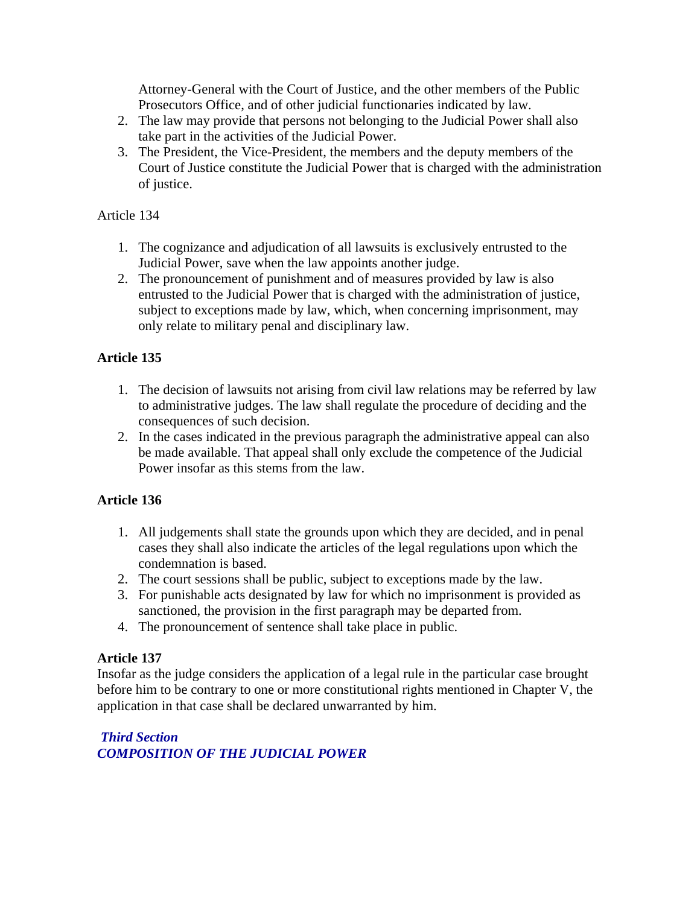Attorney-General with the Court of Justice, and the other members of the Public Prosecutors Office, and of other judicial functionaries indicated by law.

- 2. The law may provide that persons not belonging to the Judicial Power shall also take part in the activities of the Judicial Power.
- 3. The President, the Vice-President, the members and the deputy members of the Court of Justice constitute the Judicial Power that is charged with the administration of justice.

### Article 134

- 1. The cognizance and adjudication of all lawsuits is exclusively entrusted to the Judicial Power, save when the law appoints another judge.
- 2. The pronouncement of punishment and of measures provided by law is also entrusted to the Judicial Power that is charged with the administration of justice, subject to exceptions made by law, which, when concerning imprisonment, may only relate to military penal and disciplinary law.

## **Article 135**

- 1. The decision of lawsuits not arising from civil law relations may be referred by law to administrative judges. The law shall regulate the procedure of deciding and the consequences of such decision.
- 2. In the cases indicated in the previous paragraph the administrative appeal can also be made available. That appeal shall only exclude the competence of the Judicial Power insofar as this stems from the law.

## **Article 136**

- 1. All judgements shall state the grounds upon which they are decided, and in penal cases they shall also indicate the articles of the legal regulations upon which the condemnation is based.
- 2. The court sessions shall be public, subject to exceptions made by the law.
- 3. For punishable acts designated by law for which no imprisonment is provided as sanctioned, the provision in the first paragraph may be departed from.
- 4. The pronouncement of sentence shall take place in public.

## **Article 137**

Insofar as the judge considers the application of a legal rule in the particular case brought before him to be contrary to one or more constitutional rights mentioned in Chapter V, the application in that case shall be declared unwarranted by him.

*Third Section COMPOSITION OF THE JUDICIAL POWER*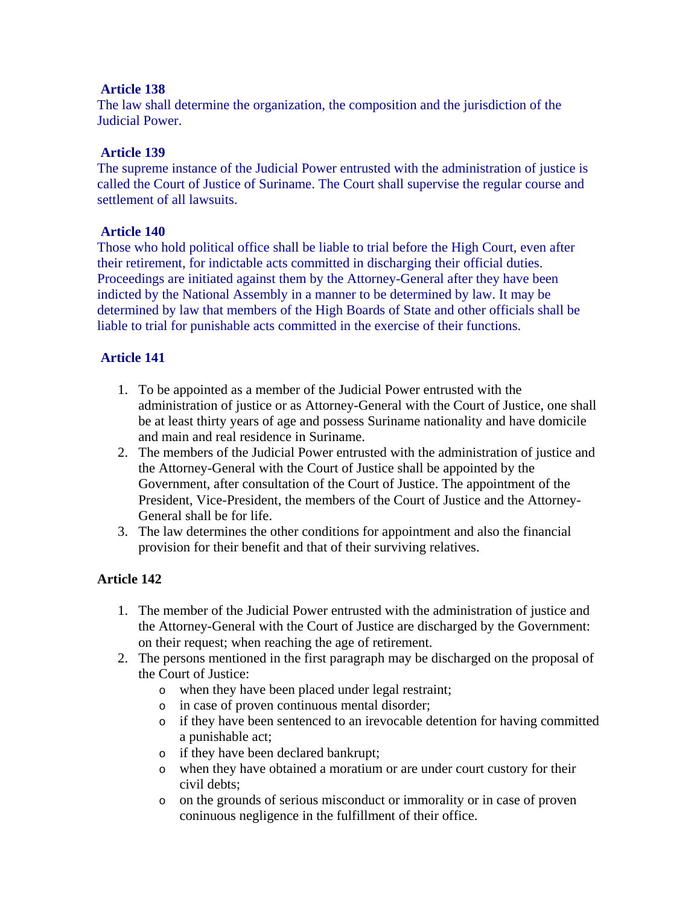The law shall determine the organization, the composition and the jurisdiction of the Judicial Power.

#### **Article 139**

The supreme instance of the Judicial Power entrusted with the administration of justice is called the Court of Justice of Suriname. The Court shall supervise the regular course and settlement of all lawsuits.

#### **Article 140**

Those who hold political office shall be liable to trial before the High Court, even after their retirement, for indictable acts committed in discharging their official duties. Proceedings are initiated against them by the Attorney-General after they have been indicted by the National Assembly in a manner to be determined by law. It may be determined by law that members of the High Boards of State and other officials shall be liable to trial for punishable acts committed in the exercise of their functions.

### **Article 141**

- 1. To be appointed as a member of the Judicial Power entrusted with the administration of justice or as Attorney-General with the Court of Justice, one shall be at least thirty years of age and possess Suriname nationality and have domicile and main and real residence in Suriname.
- 2. The members of the Judicial Power entrusted with the administration of justice and the Attorney-General with the Court of Justice shall be appointed by the Government, after consultation of the Court of Justice. The appointment of the President, Vice-President, the members of the Court of Justice and the Attorney-General shall be for life.
- 3. The law determines the other conditions for appointment and also the financial provision for their benefit and that of their surviving relatives.

- 1. The member of the Judicial Power entrusted with the administration of justice and the Attorney-General with the Court of Justice are discharged by the Government: on their request; when reaching the age of retirement.
- 2. The persons mentioned in the first paragraph may be discharged on the proposal of the Court of Justice:
	- o when they have been placed under legal restraint;
	- o in case of proven continuous mental disorder;
	- o if they have been sentenced to an irevocable detention for having committed a punishable act;
	- o if they have been declared bankrupt;
	- o when they have obtained a moratium or are under court custory for their civil debts;
	- o on the grounds of serious misconduct or immorality or in case of proven coninuous negligence in the fulfillment of their office.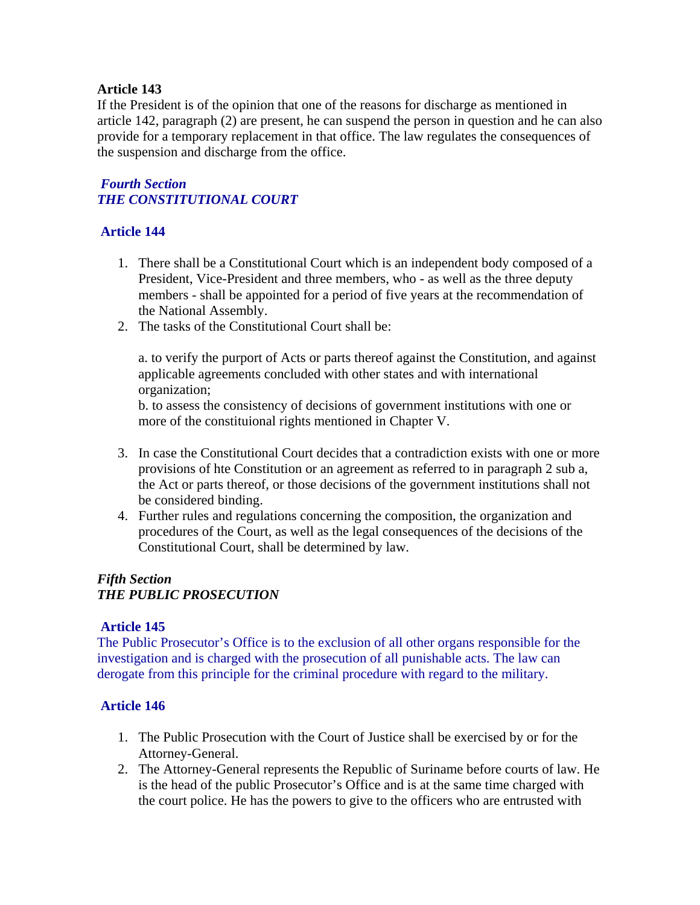If the President is of the opinion that one of the reasons for discharge as mentioned in article 142, paragraph (2) are present, he can suspend the person in question and he can also provide for a temporary replacement in that office. The law regulates the consequences of the suspension and discharge from the office.

#### *Fourth Section THE CONSTITUTIONAL COURT*

#### **Article 144**

- 1. There shall be a Constitutional Court which is an independent body composed of a President, Vice-President and three members, who - as well as the three deputy members - shall be appointed for a period of five years at the recommendation of the National Assembly.
- 2. The tasks of the Constitutional Court shall be:

a. to verify the purport of Acts or parts thereof against the Constitution, and against applicable agreements concluded with other states and with international organization;

b. to assess the consistency of decisions of government institutions with one or more of the constituional rights mentioned in Chapter V.

- 3. In case the Constitutional Court decides that a contradiction exists with one or more provisions of hte Constitution or an agreement as referred to in paragraph 2 sub a, the Act or parts thereof, or those decisions of the government institutions shall not be considered binding.
- 4. Further rules and regulations concerning the composition, the organization and procedures of the Court, as well as the legal consequences of the decisions of the Constitutional Court, shall be determined by law.

#### *Fifth Section THE PUBLIC PROSECUTION*

#### **Article 145**

The Public Prosecutor's Office is to the exclusion of all other organs responsible for the investigation and is charged with the prosecution of all punishable acts. The law can derogate from this principle for the criminal procedure with regard to the military.

- 1. The Public Prosecution with the Court of Justice shall be exercised by or for the Attorney-General.
- 2. The Attorney-General represents the Republic of Suriname before courts of law. He is the head of the public Prosecutor's Office and is at the same time charged with the court police. He has the powers to give to the officers who are entrusted with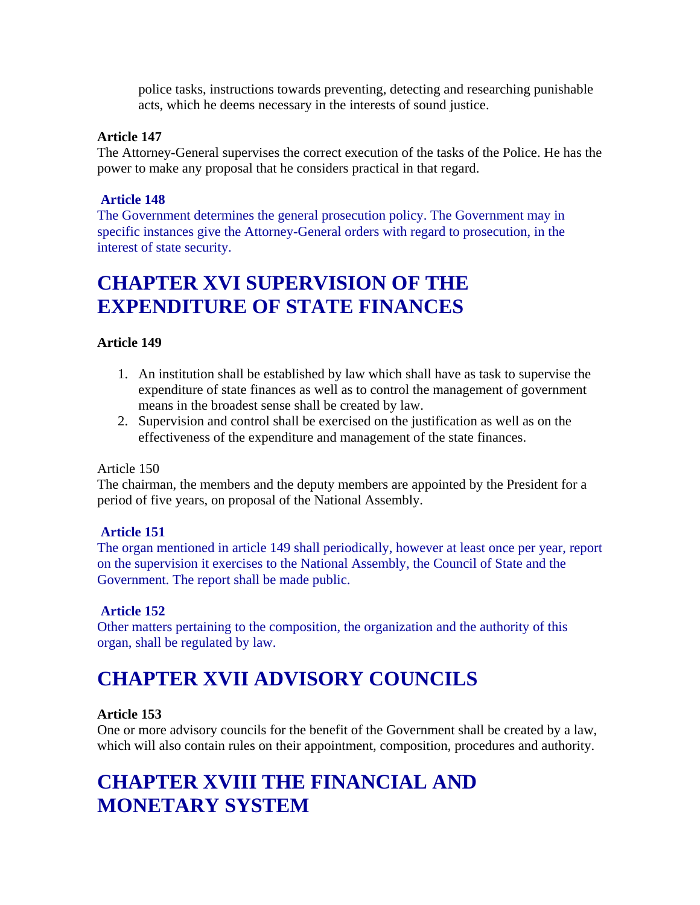police tasks, instructions towards preventing, detecting and researching punishable acts, which he deems necessary in the interests of sound justice.

#### **Article 147**

The Attorney-General supervises the correct execution of the tasks of the Police. He has the power to make any proposal that he considers practical in that regard.

### **Article 148**

The Government determines the general prosecution policy. The Government may in specific instances give the Attorney-General orders with regard to prosecution, in the interest of state security.

# **CHAPTER XVI SUPERVISION OF THE EXPENDITURE OF STATE FINANCES**

### **Article 149**

- 1. An institution shall be established by law which shall have as task to supervise the expenditure of state finances as well as to control the management of government means in the broadest sense shall be created by law.
- 2. Supervision and control shall be exercised on the justification as well as on the effectiveness of the expenditure and management of the state finances.

#### Article 150

The chairman, the members and the deputy members are appointed by the President for a period of five years, on proposal of the National Assembly.

#### **Article 151**

The organ mentioned in article 149 shall periodically, however at least once per year, report on the supervision it exercises to the National Assembly, the Council of State and the Government. The report shall be made public.

#### **Article 152**

Other matters pertaining to the composition, the organization and the authority of this organ, shall be regulated by law.

# **CHAPTER XVII ADVISORY COUNCILS**

#### **Article 153**

One or more advisory councils for the benefit of the Government shall be created by a law, which will also contain rules on their appointment, composition, procedures and authority.

# **CHAPTER XVIII THE FINANCIAL AND MONETARY SYSTEM**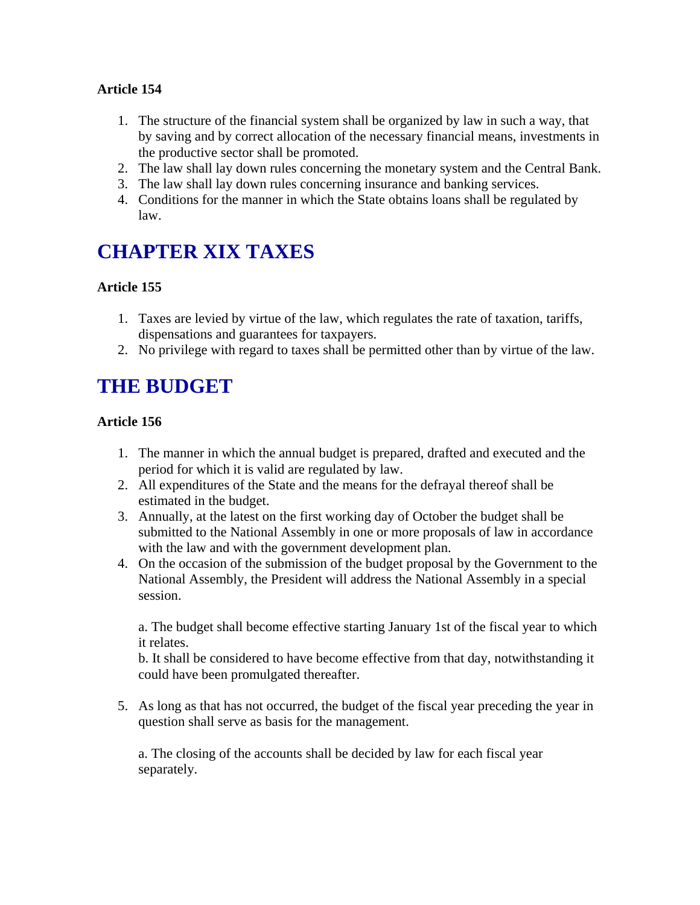- 1. The structure of the financial system shall be organized by law in such a way, that by saving and by correct allocation of the necessary financial means, investments in the productive sector shall be promoted.
- 2. The law shall lay down rules concerning the monetary system and the Central Bank.
- 3. The law shall lay down rules concerning insurance and banking services.
- 4. Conditions for the manner in which the State obtains loans shall be regulated by law.

# **CHAPTER XIX TAXES**

### **Article 155**

- 1. Taxes are levied by virtue of the law, which regulates the rate of taxation, tariffs, dispensations and guarantees for taxpayers.
- 2. No privilege with regard to taxes shall be permitted other than by virtue of the law.

# **THE BUDGET**

### **Article 156**

- 1. The manner in which the annual budget is prepared, drafted and executed and the period for which it is valid are regulated by law.
- 2. All expenditures of the State and the means for the defrayal thereof shall be estimated in the budget.
- 3. Annually, at the latest on the first working day of October the budget shall be submitted to the National Assembly in one or more proposals of law in accordance with the law and with the government development plan.
- 4. On the occasion of the submission of the budget proposal by the Government to the National Assembly, the President will address the National Assembly in a special session.

a. The budget shall become effective starting January 1st of the fiscal year to which it relates.

b. It shall be considered to have become effective from that day, notwithstanding it could have been promulgated thereafter.

5. As long as that has not occurred, the budget of the fiscal year preceding the year in question shall serve as basis for the management.

a. The closing of the accounts shall be decided by law for each fiscal year separately.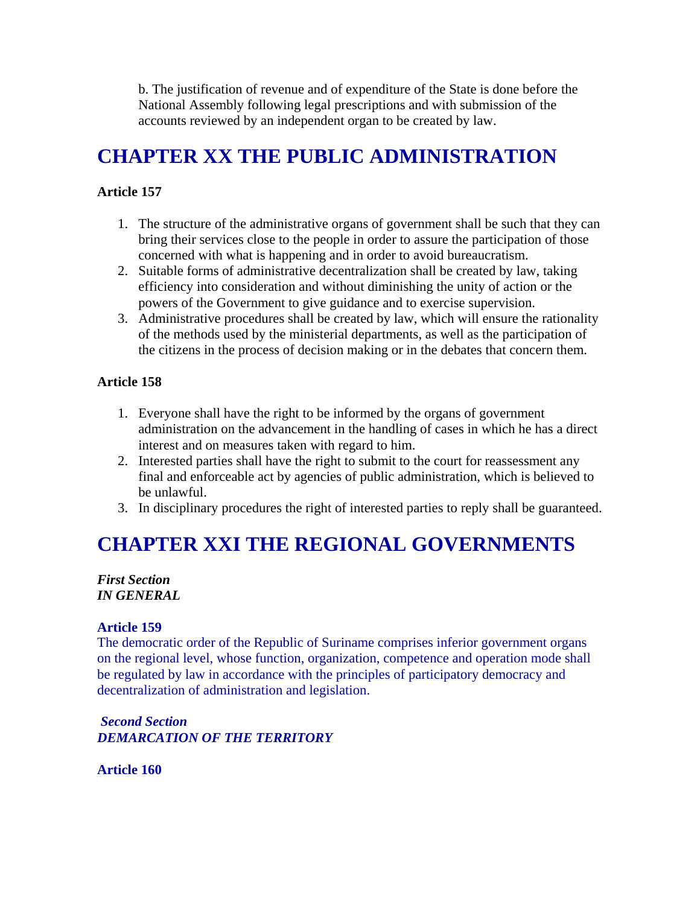b. The justification of revenue and of expenditure of the State is done before the National Assembly following legal prescriptions and with submission of the accounts reviewed by an independent organ to be created by law.

# **CHAPTER XX THE PUBLIC ADMINISTRATION**

## **Article 157**

- 1. The structure of the administrative organs of government shall be such that they can bring their services close to the people in order to assure the participation of those concerned with what is happening and in order to avoid bureaucratism.
- 2. Suitable forms of administrative decentralization shall be created by law, taking efficiency into consideration and without diminishing the unity of action or the powers of the Government to give guidance and to exercise supervision.
- 3. Administrative procedures shall be created by law, which will ensure the rationality of the methods used by the ministerial departments, as well as the participation of the citizens in the process of decision making or in the debates that concern them.

#### **Article 158**

- 1. Everyone shall have the right to be informed by the organs of government administration on the advancement in the handling of cases in which he has a direct interest and on measures taken with regard to him.
- 2. Interested parties shall have the right to submit to the court for reassessment any final and enforceable act by agencies of public administration, which is believed to be unlawful.
- 3. In disciplinary procedures the right of interested parties to reply shall be guaranteed.

# **CHAPTER XXI THE REGIONAL GOVERNMENTS**

#### *First Section IN GENERAL*

#### **Article 159**

The democratic order of the Republic of Suriname comprises inferior government organs on the regional level, whose function, organization, competence and operation mode shall be regulated by law in accordance with the principles of participatory democracy and decentralization of administration and legislation.

### *Second Section DEMARCATION OF THE TERRITORY*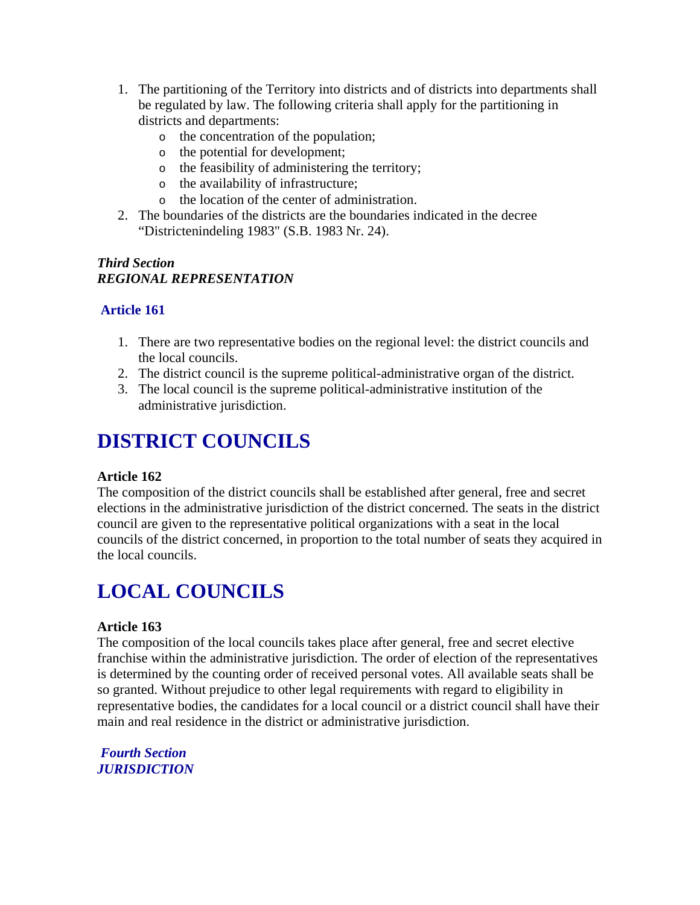- 1. The partitioning of the Territory into districts and of districts into departments shall be regulated by law. The following criteria shall apply for the partitioning in districts and departments:
	- o the concentration of the population;
	- o the potential for development;
	- o the feasibility of administering the territory;
	- o the availability of infrastructure;
	- o the location of the center of administration.
- 2. The boundaries of the districts are the boundaries indicated in the decree "Districtenindeling 1983" (S.B. 1983 Nr. 24).

#### *Third Section REGIONAL REPRESENTATION*

## **Article 161**

- 1. There are two representative bodies on the regional level: the district councils and the local councils.
- 2. The district council is the supreme political-administrative organ of the district.
- 3. The local council is the supreme political-administrative institution of the administrative jurisdiction.

# **DISTRICT COUNCILS**

#### **Article 162**

The composition of the district councils shall be established after general, free and secret elections in the administrative jurisdiction of the district concerned. The seats in the district council are given to the representative political organizations with a seat in the local councils of the district concerned, in proportion to the total number of seats they acquired in the local councils.

# **LOCAL COUNCILS**

#### **Article 163**

The composition of the local councils takes place after general, free and secret elective franchise within the administrative jurisdiction. The order of election of the representatives is determined by the counting order of received personal votes. All available seats shall be so granted. Without prejudice to other legal requirements with regard to eligibility in representative bodies, the candidates for a local council or a district council shall have their main and real residence in the district or administrative jurisdiction.

*Fourth Section JURISDICTION*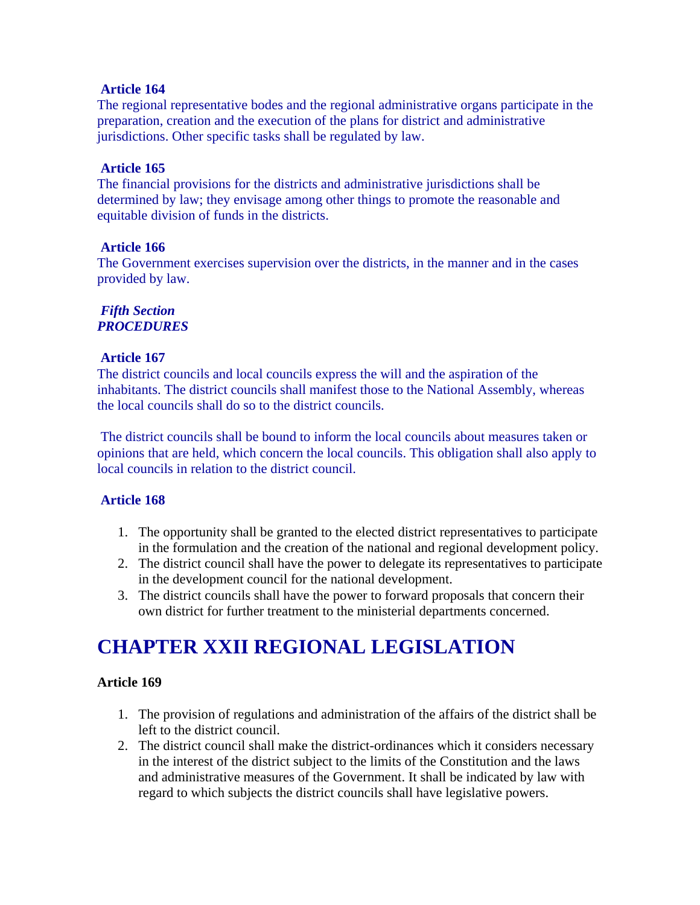The regional representative bodes and the regional administrative organs participate in the preparation, creation and the execution of the plans for district and administrative jurisdictions. Other specific tasks shall be regulated by law.

### **Article 165**

The financial provisions for the districts and administrative jurisdictions shall be determined by law; they envisage among other things to promote the reasonable and equitable division of funds in the districts.

#### **Article 166**

The Government exercises supervision over the districts, in the manner and in the cases provided by law.

#### *Fifth Section PROCEDURES*

#### **Article 167**

The district councils and local councils express the will and the aspiration of the inhabitants. The district councils shall manifest those to the National Assembly, whereas the local councils shall do so to the district councils.

 The district councils shall be bound to inform the local councils about measures taken or opinions that are held, which concern the local councils. This obligation shall also apply to local councils in relation to the district council.

#### **Article 168**

- 1. The opportunity shall be granted to the elected district representatives to participate in the formulation and the creation of the national and regional development policy.
- 2. The district council shall have the power to delegate its representatives to participate in the development council for the national development.
- 3. The district councils shall have the power to forward proposals that concern their own district for further treatment to the ministerial departments concerned.

# **CHAPTER XXII REGIONAL LEGISLATION**

- 1. The provision of regulations and administration of the affairs of the district shall be left to the district council.
- 2. The district council shall make the district-ordinances which it considers necessary in the interest of the district subject to the limits of the Constitution and the laws and administrative measures of the Government. It shall be indicated by law with regard to which subjects the district councils shall have legislative powers.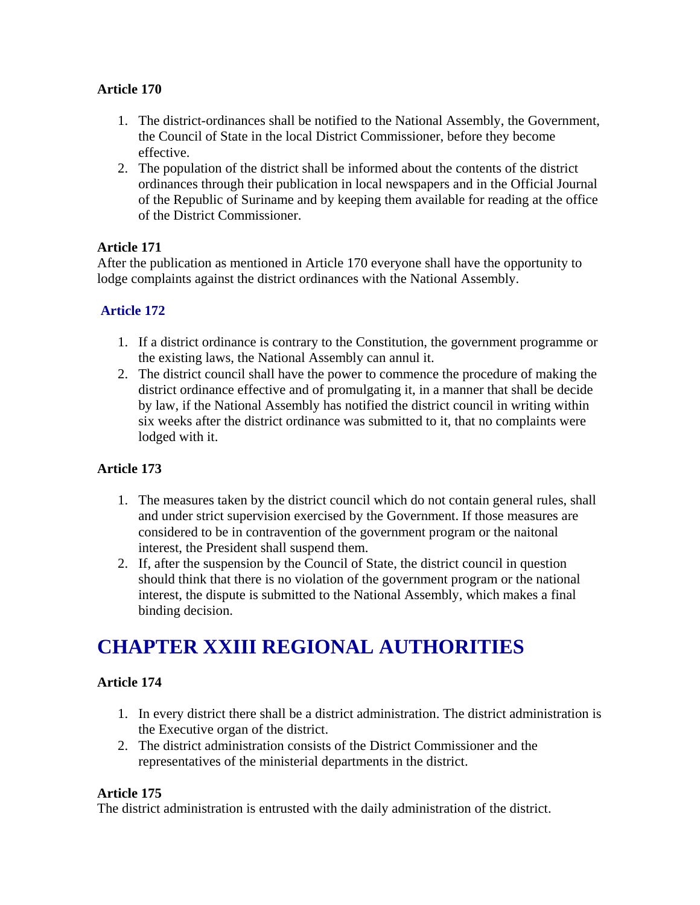- 1. The district-ordinances shall be notified to the National Assembly, the Government, the Council of State in the local District Commissioner, before they become effective.
- 2. The population of the district shall be informed about the contents of the district ordinances through their publication in local newspapers and in the Official Journal of the Republic of Suriname and by keeping them available for reading at the office of the District Commissioner.

#### **Article 171**

After the publication as mentioned in Article 170 everyone shall have the opportunity to lodge complaints against the district ordinances with the National Assembly.

## **Article 172**

- 1. If a district ordinance is contrary to the Constitution, the government programme or the existing laws, the National Assembly can annul it.
- 2. The district council shall have the power to commence the procedure of making the district ordinance effective and of promulgating it, in a manner that shall be decide by law, if the National Assembly has notified the district council in writing within six weeks after the district ordinance was submitted to it, that no complaints were lodged with it.

## **Article 173**

- 1. The measures taken by the district council which do not contain general rules, shall and under strict supervision exercised by the Government. If those measures are considered to be in contravention of the government program or the naitonal interest, the President shall suspend them.
- 2. If, after the suspension by the Council of State, the district council in question should think that there is no violation of the government program or the national interest, the dispute is submitted to the National Assembly, which makes a final binding decision.

# **CHAPTER XXIII REGIONAL AUTHORITIES**

#### **Article 174**

- 1. In every district there shall be a district administration. The district administration is the Executive organ of the district.
- 2. The district administration consists of the District Commissioner and the representatives of the ministerial departments in the district.

#### **Article 175**

The district administration is entrusted with the daily administration of the district.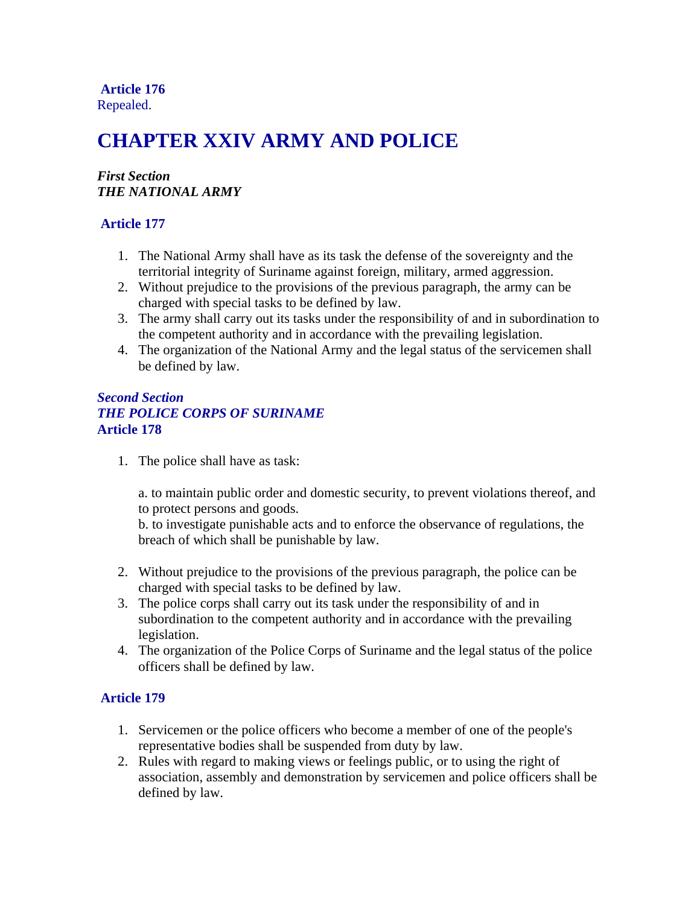**Article 176** Repealed.

# **CHAPTER XXIV ARMY AND POLICE**

### *First Section THE NATIONAL ARMY*

## **Article 177**

- 1. The National Army shall have as its task the defense of the sovereignty and the territorial integrity of Suriname against foreign, military, armed aggression.
- 2. Without prejudice to the provisions of the previous paragraph, the army can be charged with special tasks to be defined by law.
- 3. The army shall carry out its tasks under the responsibility of and in subordination to the competent authority and in accordance with the prevailing legislation.
- 4. The organization of the National Army and the legal status of the servicemen shall be defined by law.

### *Second Section THE POLICE CORPS OF SURINAME* **Article 178**

1. The police shall have as task:

a. to maintain public order and domestic security, to prevent violations thereof, and to protect persons and goods.

b. to investigate punishable acts and to enforce the observance of regulations, the breach of which shall be punishable by law.

- 2. Without prejudice to the provisions of the previous paragraph, the police can be charged with special tasks to be defined by law.
- 3. The police corps shall carry out its task under the responsibility of and in subordination to the competent authority and in accordance with the prevailing legislation.
- 4. The organization of the Police Corps of Suriname and the legal status of the police officers shall be defined by law.

- 1. Servicemen or the police officers who become a member of one of the people's representative bodies shall be suspended from duty by law.
- 2. Rules with regard to making views or feelings public, or to using the right of association, assembly and demonstration by servicemen and police officers shall be defined by law.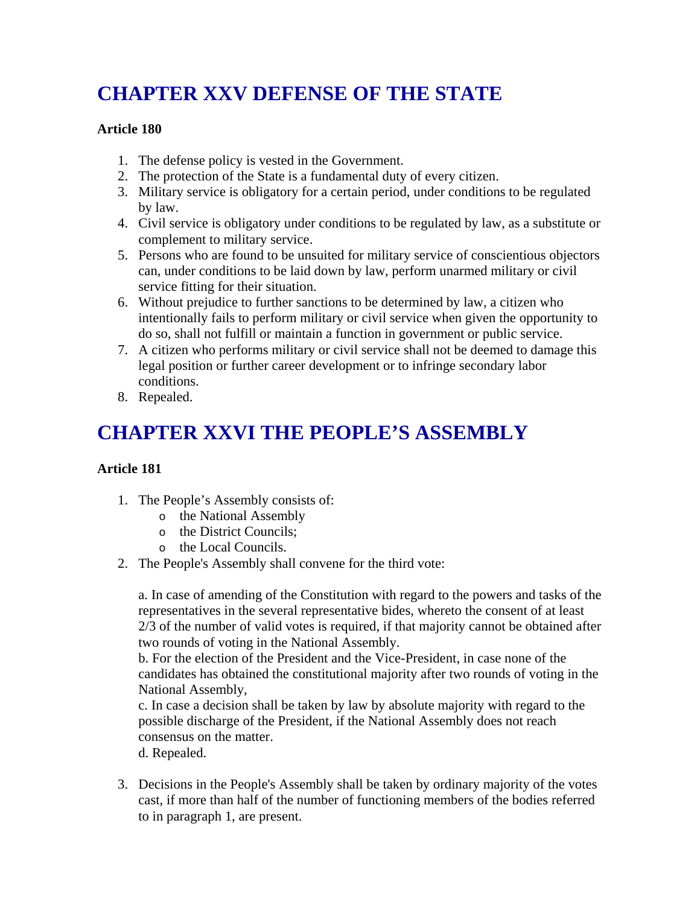# **CHAPTER XXV DEFENSE OF THE STATE**

#### **Article 180**

- 1. The defense policy is vested in the Government.
- 2. The protection of the State is a fundamental duty of every citizen.
- 3. Military service is obligatory for a certain period, under conditions to be regulated by law.
- 4. Civil service is obligatory under conditions to be regulated by law, as a substitute or complement to military service.
- 5. Persons who are found to be unsuited for military service of conscientious objectors can, under conditions to be laid down by law, perform unarmed military or civil service fitting for their situation.
- 6. Without prejudice to further sanctions to be determined by law, a citizen who intentionally fails to perform military or civil service when given the opportunity to do so, shall not fulfill or maintain a function in government or public service.
- 7. A citizen who performs military or civil service shall not be deemed to damage this legal position or further career development or to infringe secondary labor conditions.
- 8. Repealed.

# **CHAPTER XXVI THE PEOPLE'S ASSEMBLY**

## **Article 181**

- 1. The People's Assembly consists of:
	- o the National Assembly
	- o the District Councils;
	- o the Local Councils.
- 2. The People's Assembly shall convene for the third vote:

a. In case of amending of the Constitution with regard to the powers and tasks of the representatives in the several representative bides, whereto the consent of at least 2/3 of the number of valid votes is required, if that majority cannot be obtained after two rounds of voting in the National Assembly.

b. For the election of the President and the Vice-President, in case none of the candidates has obtained the constitutional majority after two rounds of voting in the National Assembly,

c. In case a decision shall be taken by law by absolute majority with regard to the possible discharge of the President, if the National Assembly does not reach consensus on the matter.

d. Repealed.

3. Decisions in the People's Assembly shall be taken by ordinary majority of the votes cast, if more than half of the number of functioning members of the bodies referred to in paragraph 1, are present.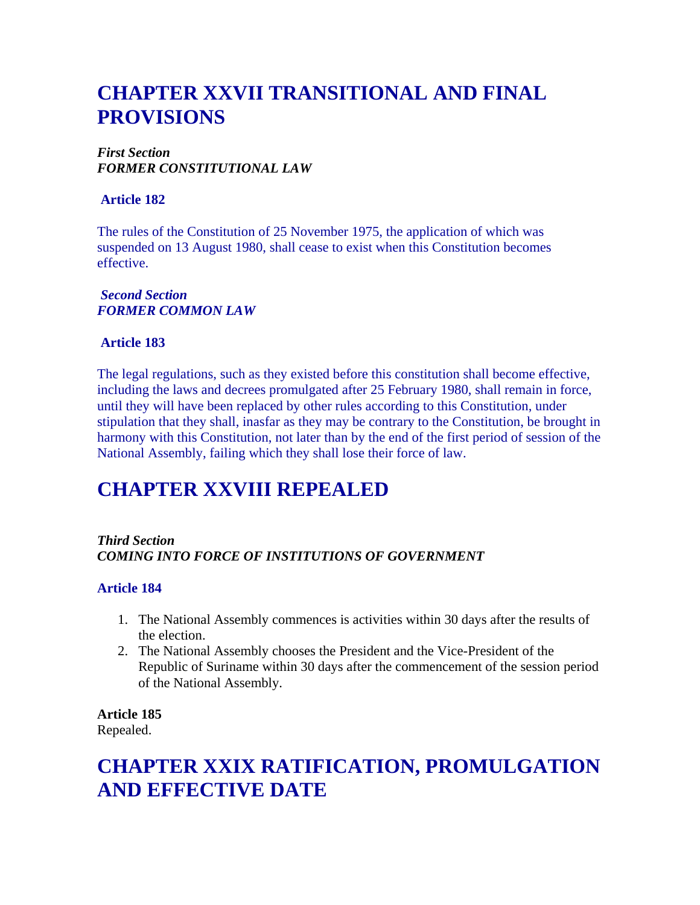# **CHAPTER XXVII TRANSITIONAL AND FINAL PROVISIONS**

### *First Section FORMER CONSTITUTIONAL LAW*

### **Article 182**

The rules of the Constitution of 25 November 1975, the application of which was suspended on 13 August 1980, shall cease to exist when this Constitution becomes effective.

#### *Second Section FORMER COMMON LAW*

#### **Article 183**

The legal regulations, such as they existed before this constitution shall become effective, including the laws and decrees promulgated after 25 February 1980, shall remain in force, until they will have been replaced by other rules according to this Constitution, under stipulation that they shall, inasfar as they may be contrary to the Constitution, be brought in harmony with this Constitution, not later than by the end of the first period of session of the National Assembly, failing which they shall lose their force of law.

# **CHAPTER XXVIII REPEALED**

## *Third Section COMING INTO FORCE OF INSTITUTIONS OF GOVERNMENT*

#### **Article 184**

- 1. The National Assembly commences is activities within 30 days after the results of the election.
- 2. The National Assembly chooses the President and the Vice-President of the Republic of Suriname within 30 days after the commencement of the session period of the National Assembly.

**Article 185** Repealed.

# **CHAPTER XXIX RATIFICATION, PROMULGATION AND EFFECTIVE DATE**